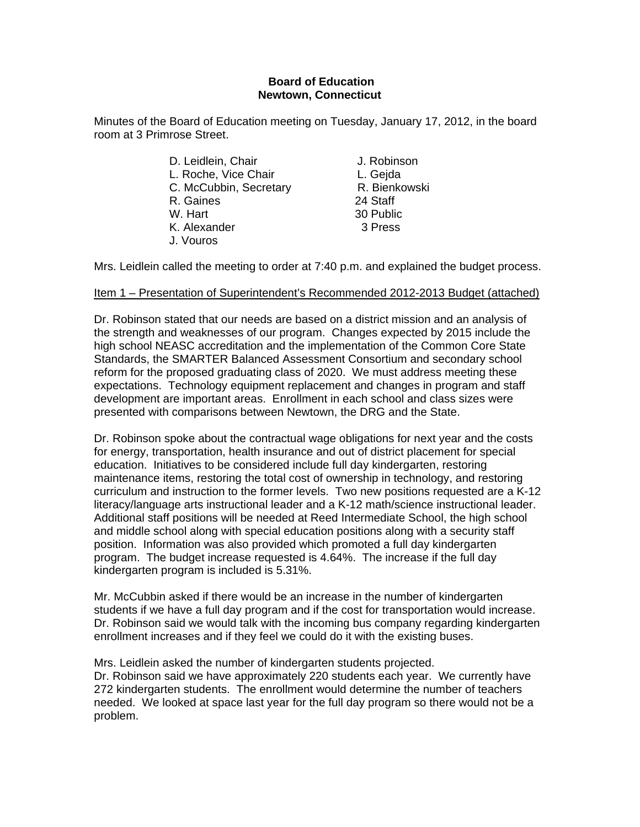#### **Board of Education Newtown, Connecticut**

Minutes of the Board of Education meeting on Tuesday, January 17, 2012, in the board room at 3 Primrose Street.

> D. Leidlein, Chair **J. Robinson** L. Roche, Vice Chair **L. Geida** C. McCubbin, Secretary R. Bienkowski R. Gaines 24 Staff W. Hart 30 Public K. Alexander 3 Press J. Vouros

Mrs. Leidlein called the meeting to order at 7:40 p.m. and explained the budget process.

#### Item 1 – Presentation of Superintendent's Recommended 2012-2013 Budget (attached)

Dr. Robinson stated that our needs are based on a district mission and an analysis of the strength and weaknesses of our program. Changes expected by 2015 include the high school NEASC accreditation and the implementation of the Common Core State Standards, the SMARTER Balanced Assessment Consortium and secondary school reform for the proposed graduating class of 2020. We must address meeting these expectations. Technology equipment replacement and changes in program and staff development are important areas. Enrollment in each school and class sizes were presented with comparisons between Newtown, the DRG and the State.

Dr. Robinson spoke about the contractual wage obligations for next year and the costs for energy, transportation, health insurance and out of district placement for special education. Initiatives to be considered include full day kindergarten, restoring maintenance items, restoring the total cost of ownership in technology, and restoring curriculum and instruction to the former levels. Two new positions requested are a K-12 literacy/language arts instructional leader and a K-12 math/science instructional leader. Additional staff positions will be needed at Reed Intermediate School, the high school and middle school along with special education positions along with a security staff position. Information was also provided which promoted a full day kindergarten program. The budget increase requested is 4.64%. The increase if the full day kindergarten program is included is 5.31%.

Mr. McCubbin asked if there would be an increase in the number of kindergarten students if we have a full day program and if the cost for transportation would increase. Dr. Robinson said we would talk with the incoming bus company regarding kindergarten enrollment increases and if they feel we could do it with the existing buses.

Mrs. Leidlein asked the number of kindergarten students projected. Dr. Robinson said we have approximately 220 students each year. We currently have 272 kindergarten students. The enrollment would determine the number of teachers needed. We looked at space last year for the full day program so there would not be a problem.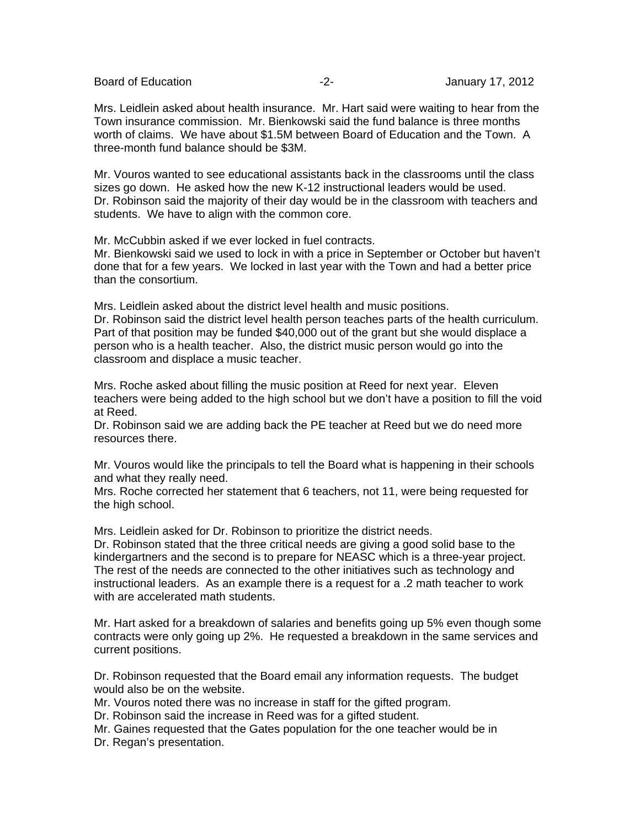Board of Education **-2-** Figure 2- **January 17, 2012** 

Mrs. Leidlein asked about health insurance. Mr. Hart said were waiting to hear from the Town insurance commission. Mr. Bienkowski said the fund balance is three months worth of claims. We have about \$1.5M between Board of Education and the Town. A three-month fund balance should be \$3M.

Mr. Vouros wanted to see educational assistants back in the classrooms until the class sizes go down. He asked how the new K-12 instructional leaders would be used. Dr. Robinson said the majority of their day would be in the classroom with teachers and students. We have to align with the common core.

Mr. McCubbin asked if we ever locked in fuel contracts. Mr. Bienkowski said we used to lock in with a price in September or October but haven't done that for a few years. We locked in last year with the Town and had a better price than the consortium.

Mrs. Leidlein asked about the district level health and music positions. Dr. Robinson said the district level health person teaches parts of the health curriculum. Part of that position may be funded \$40,000 out of the grant but she would displace a person who is a health teacher. Also, the district music person would go into the classroom and displace a music teacher.

Mrs. Roche asked about filling the music position at Reed for next year. Eleven teachers were being added to the high school but we don't have a position to fill the void at Reed.

Dr. Robinson said we are adding back the PE teacher at Reed but we do need more resources there.

Mr. Vouros would like the principals to tell the Board what is happening in their schools and what they really need.

Mrs. Roche corrected her statement that 6 teachers, not 11, were being requested for the high school.

Mrs. Leidlein asked for Dr. Robinson to prioritize the district needs.

Dr. Robinson stated that the three critical needs are giving a good solid base to the kindergartners and the second is to prepare for NEASC which is a three-year project. The rest of the needs are connected to the other initiatives such as technology and instructional leaders. As an example there is a request for a .2 math teacher to work with are accelerated math students.

Mr. Hart asked for a breakdown of salaries and benefits going up 5% even though some contracts were only going up 2%. He requested a breakdown in the same services and current positions.

Dr. Robinson requested that the Board email any information requests. The budget would also be on the website.

Mr. Vouros noted there was no increase in staff for the gifted program.

Dr. Robinson said the increase in Reed was for a gifted student.

Mr. Gaines requested that the Gates population for the one teacher would be in

Dr. Regan's presentation.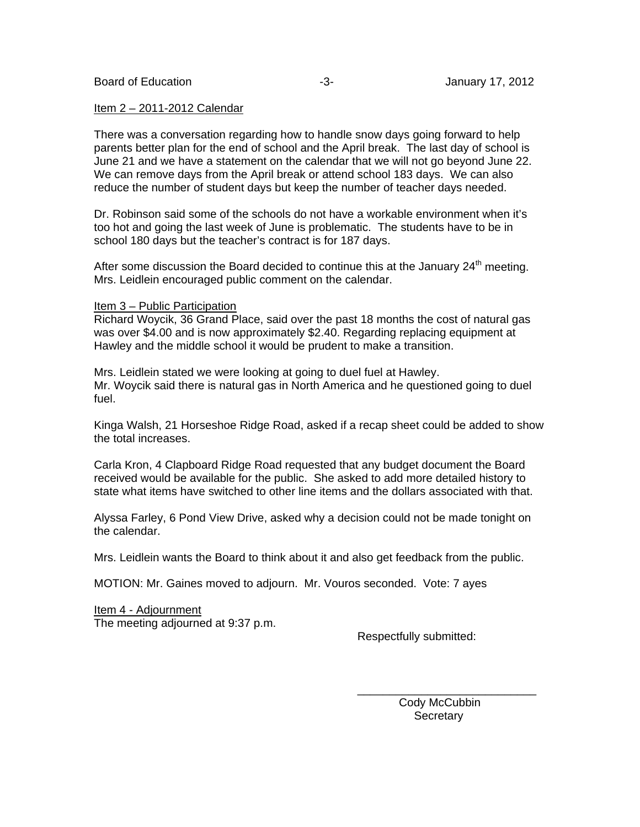#### Item 2 – 2011-2012 Calendar

There was a conversation regarding how to handle snow days going forward to help parents better plan for the end of school and the April break. The last day of school is June 21 and we have a statement on the calendar that we will not go beyond June 22. We can remove days from the April break or attend school 183 days. We can also reduce the number of student days but keep the number of teacher days needed.

Dr. Robinson said some of the schools do not have a workable environment when it's too hot and going the last week of June is problematic. The students have to be in school 180 days but the teacher's contract is for 187 days.

After some discussion the Board decided to continue this at the January  $24<sup>th</sup>$  meeting. Mrs. Leidlein encouraged public comment on the calendar.

#### Item 3 – Public Participation

Richard Woycik, 36 Grand Place, said over the past 18 months the cost of natural gas was over \$4.00 and is now approximately \$2.40. Regarding replacing equipment at Hawley and the middle school it would be prudent to make a transition.

Mrs. Leidlein stated we were looking at going to duel fuel at Hawley. Mr. Woycik said there is natural gas in North America and he questioned going to duel fuel.

Kinga Walsh, 21 Horseshoe Ridge Road, asked if a recap sheet could be added to show the total increases.

Carla Kron, 4 Clapboard Ridge Road requested that any budget document the Board received would be available for the public. She asked to add more detailed history to state what items have switched to other line items and the dollars associated with that.

Alyssa Farley, 6 Pond View Drive, asked why a decision could not be made tonight on the calendar.

Mrs. Leidlein wants the Board to think about it and also get feedback from the public.

 $\overline{\phantom{a}}$  , and the contract of the contract of the contract of the contract of the contract of the contract of the contract of the contract of the contract of the contract of the contract of the contract of the contrac

MOTION: Mr. Gaines moved to adjourn. Mr. Vouros seconded. Vote: 7 ayes

Item 4 - Adjournment The meeting adjourned at 9:37 p.m.

Respectfully submitted:

 Cody McCubbin **Secretary**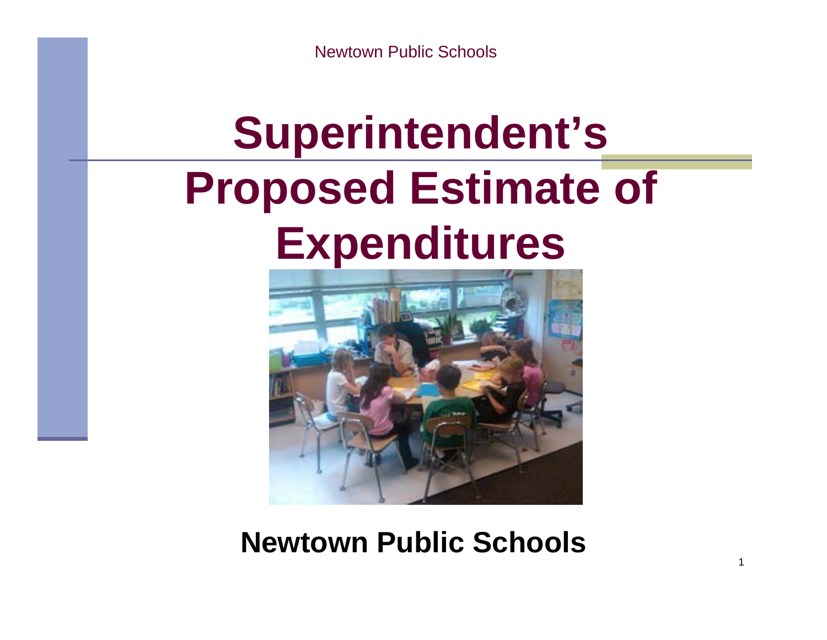# **Superintendent's Proposed Estimate of Expenditures**



**Newtown Public Schools**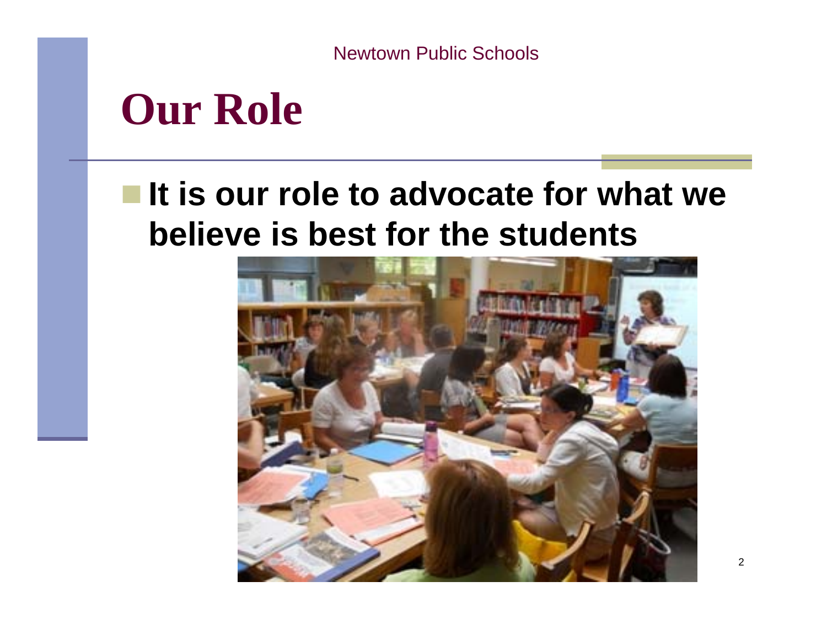### **Our Role**

### ■It is our role to advocate for what we **believe is best for the students**

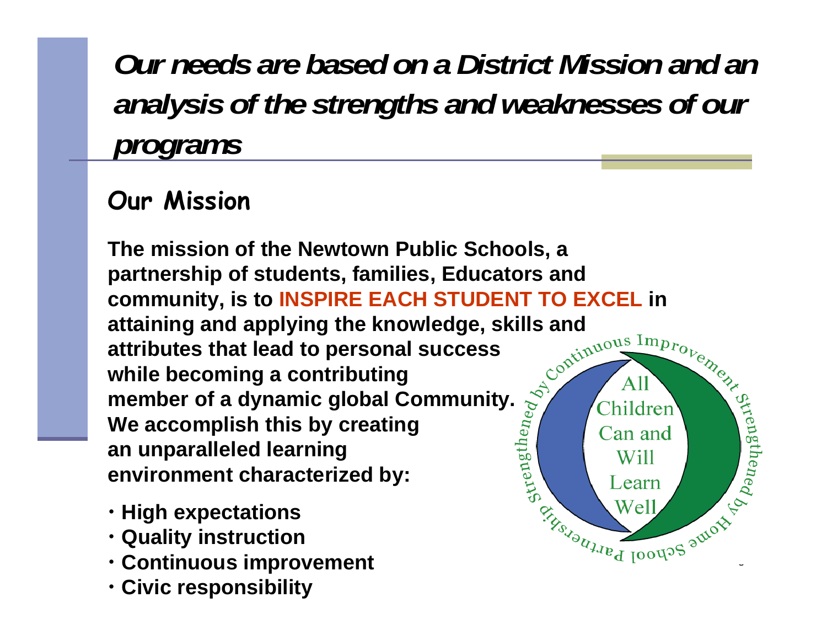*Our needs are based on a District Mission and ananalysis of the strengths and weaknesses of our programs*

#### **Our Mission**

**The mission of the Newtown Public Schools, a partnership of students, families, Educators and community, is to INSPIRE EACH STUDENT TO EXCEL in attaining and applying the knowledge, skills and attributes that lead to personal success while becoming a contributing member of a dynamic global Community. We accomplish this by creating an unparalleled learning environment characterized by:**

 $\overline{a}$ 

- **High expectations**
- **Quality instruction**
- **Continuous improvement**
- **Civic responsibility**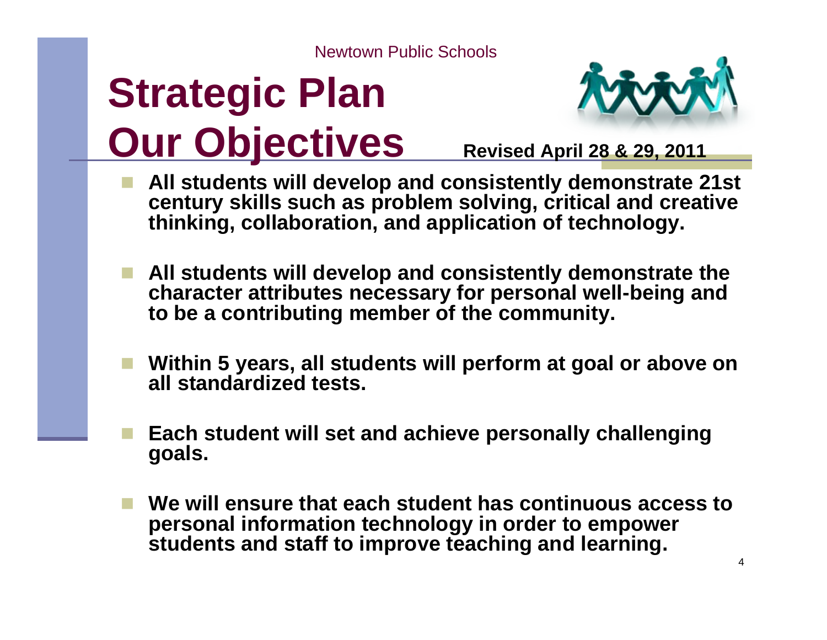# **Strategic Plan Our Objectives** Revised April 28 & 29, 2011



- **All students will develop and consistently demonstrate 21st century skills such as problem solving, critical and creative thinking, collaboration, and application of technology.**
- **All students will develop and consistently demonstrate the character attributes necessary for personal well-being and to be a contributing member of the community.**
- **Within 5 years, all students will perform at goal or above on all standardized tests.**
- **Each student will set and achieve personally challenging goals.**
- **We will ensure that each student has continuous access to personal information technology in order to empower students and staff to improve teaching and learning.**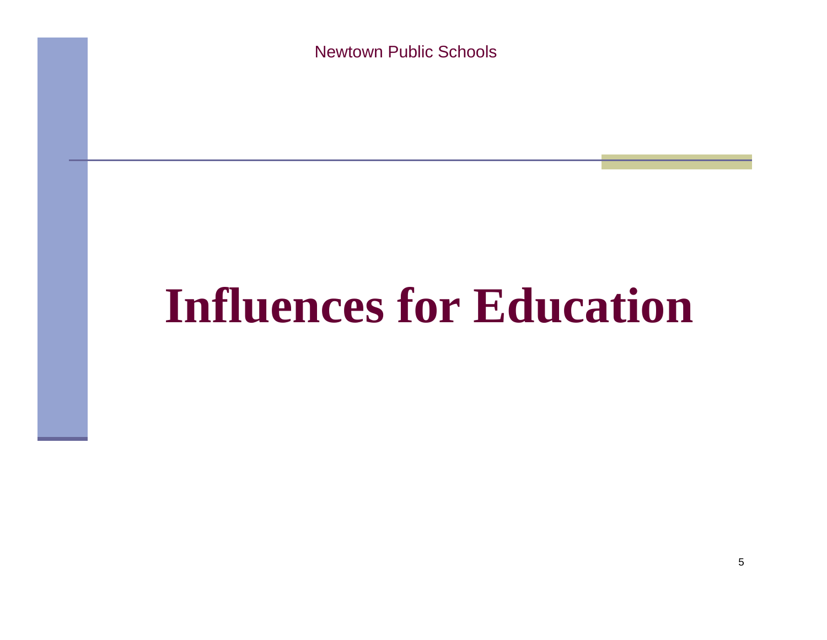# **Influences for Education**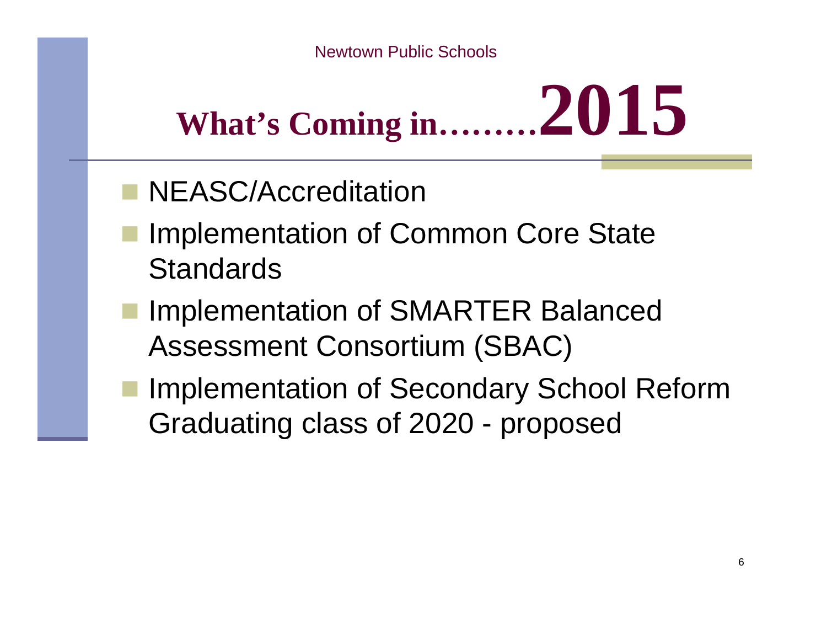# **What's Coming in……… 2015**

- **NEASC/Accreditation**
- Implementation of Common Core State **Standards**
- Implementation of SMARTER Balanced Assessment Consortium (SBAC)
- Implementation of Secondary School Reform Graduating class of 2020 - proposed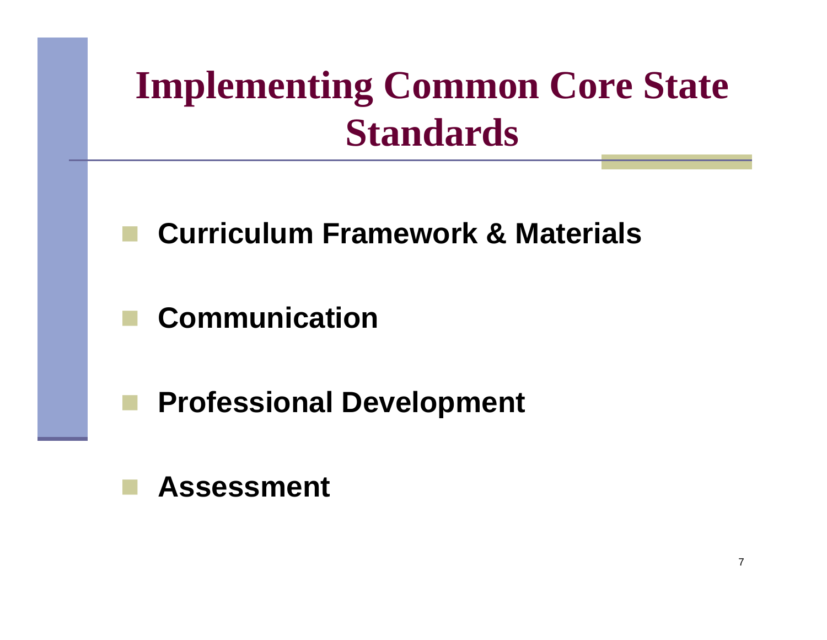## **Implementing Common Core State Standards**

### **Curriculum Framework & Materials**

**Communication**

**Professional Development**

#### **Assessment**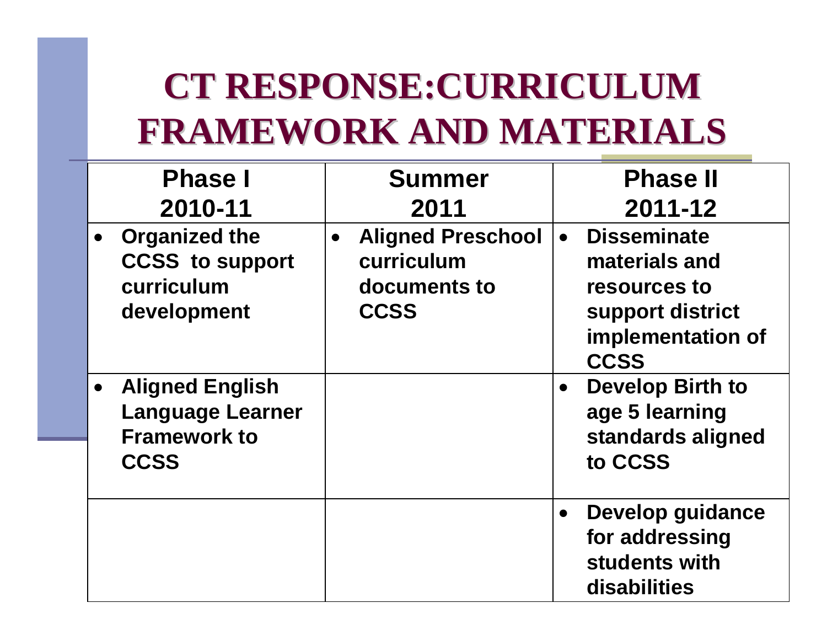### **CT RESPONSE: CURRICULUM FRAMEWORK AND MATERIALS FRAMEWORK AND MATERIALS**

| <b>Phase I</b>                                                                          | <b>Summer</b>                                                                      | <b>Phase II</b>                                                                                             |
|-----------------------------------------------------------------------------------------|------------------------------------------------------------------------------------|-------------------------------------------------------------------------------------------------------------|
| 2010-11                                                                                 | 2011                                                                               | 2011-12                                                                                                     |
| <b>Organized the</b><br><b>CCSS</b> to support<br>curriculum<br>development             | <b>Aligned Preschool</b><br>$\bullet$<br>curriculum<br>documents to<br><b>CCSS</b> | <b>Disseminate</b><br>materials and<br>resources to<br>support district<br>implementation of<br><b>CCSS</b> |
| <b>Aligned English</b><br><b>Language Learner</b><br><b>Framework to</b><br><b>CCSS</b> |                                                                                    | <b>Develop Birth to</b><br>$\bullet$<br>age 5 learning<br>standards aligned<br>to CCSS                      |
|                                                                                         |                                                                                    | <b>Develop guidance</b><br>for addressing<br>students with<br>disabilities                                  |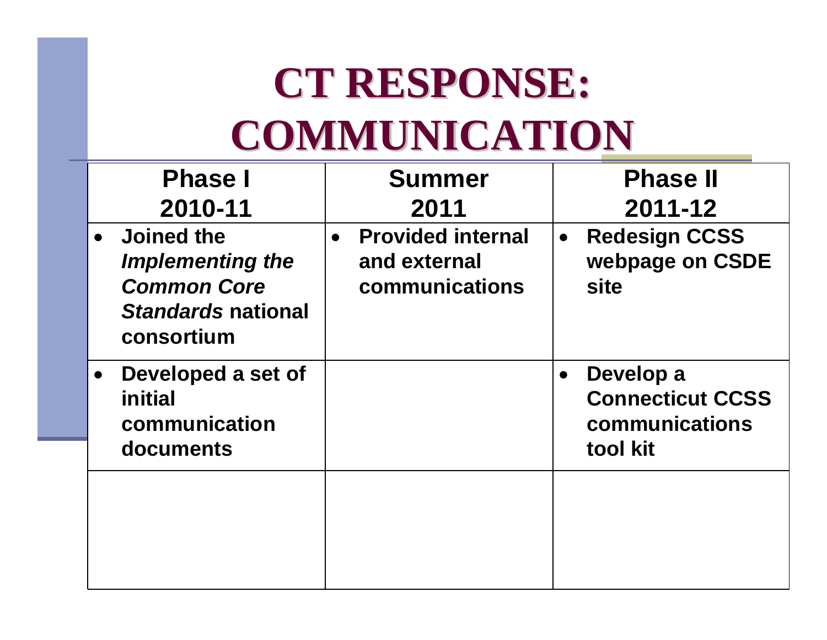# **CT RESPONSE: COMMUNICATION COMMUNICATION**

| <b>Phase I</b><br>2010-11                                                                                     | <b>Summer</b><br>2011                                                   | <b>Phase II</b><br>2011-12                                                      |
|---------------------------------------------------------------------------------------------------------------|-------------------------------------------------------------------------|---------------------------------------------------------------------------------|
| <b>Joined the</b><br><b>Implementing the</b><br><b>Common Core</b><br><b>Standards national</b><br>consortium | <b>Provided internal</b><br>$\bullet$<br>and external<br>communications | <b>Redesign CCSS</b><br>$\bullet$<br>webpage on CSDE<br>site                    |
| Developed a set of<br>initial<br>communication<br>documents                                                   |                                                                         | Develop a<br>$\bullet$<br><b>Connecticut CCSS</b><br>communications<br>tool kit |
|                                                                                                               |                                                                         |                                                                                 |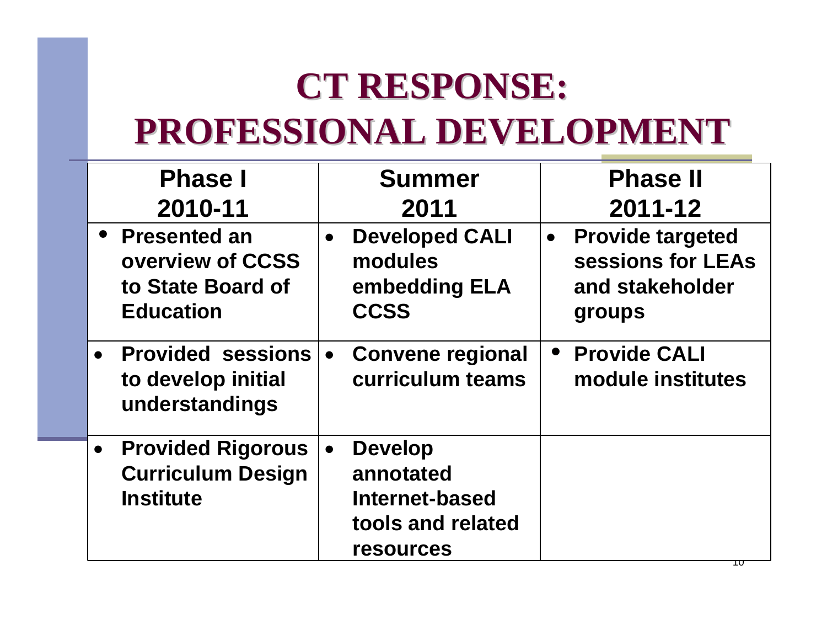### **CT RESPONSE: PROFESSIONAL DEVELOPMENT PROFESSIONAL DEVELOPMENT**

| <b>Phase I</b>                                                                        | <b>Summer</b>                                                                                              | <b>Phase II</b>                                                                        |
|---------------------------------------------------------------------------------------|------------------------------------------------------------------------------------------------------------|----------------------------------------------------------------------------------------|
| 2010-11                                                                               | 2011                                                                                                       | 2011-12                                                                                |
| • Presented an<br>overview of CCSS<br>to State Board of<br><b>Education</b>           | <b>Developed CALI</b><br>$\bullet$<br>modules<br>embedding ELA<br><b>CCSS</b>                              | <b>Provide targeted</b><br>$\bullet$<br>sessions for LEAs<br>and stakeholder<br>groups |
| • Provided sessions<br>to develop initial<br>understandings                           | <b>Convene regional</b><br>$\bullet$<br>curriculum teams                                                   | • Provide CALI<br>module institutes                                                    |
| <b>Provided Rigorous</b><br>$\bullet$<br><b>Curriculum Design</b><br><b>Institute</b> | <b>Develop</b><br>$\bullet$<br>annotated<br><b>Internet-based</b><br>tools and related<br><b>resources</b> |                                                                                        |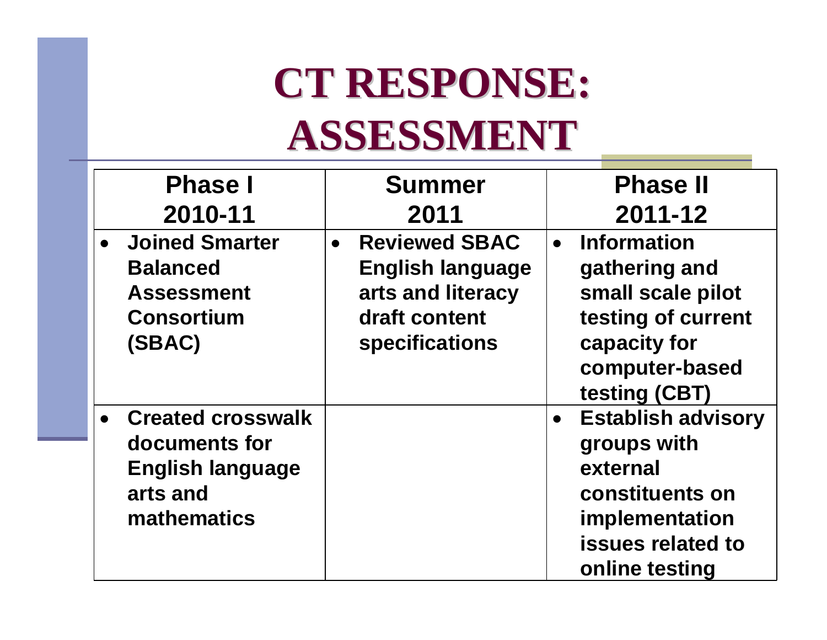# **CT RESPONSE: ASSESSMENT ASSESSMENT**

|           | <b>Phase I</b>                                                                                  | <b>Summer</b>                                                                                                        | <b>Phase II</b>                                                                                                                  |
|-----------|-------------------------------------------------------------------------------------------------|----------------------------------------------------------------------------------------------------------------------|----------------------------------------------------------------------------------------------------------------------------------|
|           | 2010-11                                                                                         | 2011                                                                                                                 | 2011-12                                                                                                                          |
|           | <b>Joined Smarter</b><br><b>Balanced</b><br><b>Assessment</b><br><b>Consortium</b><br>(SBAC)    | <b>Reviewed SBAC</b><br>$\bullet$<br><b>English language</b><br>arts and literacy<br>draft content<br>specifications | • Information<br>gathering and<br>small scale pilot<br>testing of current<br>capacity for<br>computer-based<br>testing (CBT)     |
| $\bullet$ | <b>Created crosswalk</b><br>documents for<br><b>English language</b><br>arts and<br>mathematics |                                                                                                                      | <b>Establish advisory</b><br>groups with<br>external<br>constituents on<br>implementation<br>issues related to<br>online testing |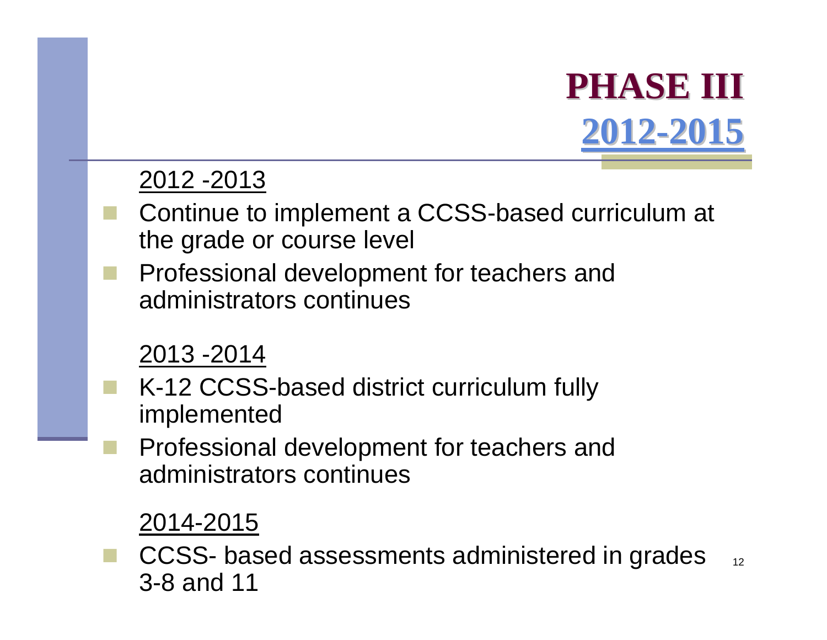## **PHASE III PHASE III [2012-2015](http://www.sde.ct.gov/sde/cwp/view.asp?a=2618&q=322592)**

#### 2012 -2013

- Continue to implement a CCSS-based curriculum at the grade or course level
- Professional development for teachers and administrators continues

#### 2013 -2014

- K-12 CCSS-based district curriculum fully implemented
	- Professional development for teachers and administrators continues

#### 2014-2015

12 CCSS- based assessments administered in grades 3-8 and 11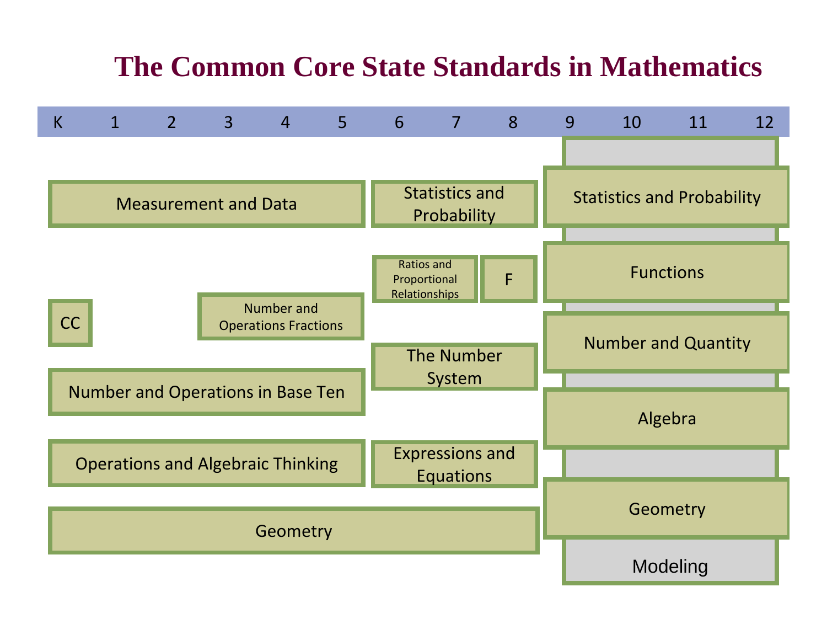#### **The Common Core State Standards in Mathematics**

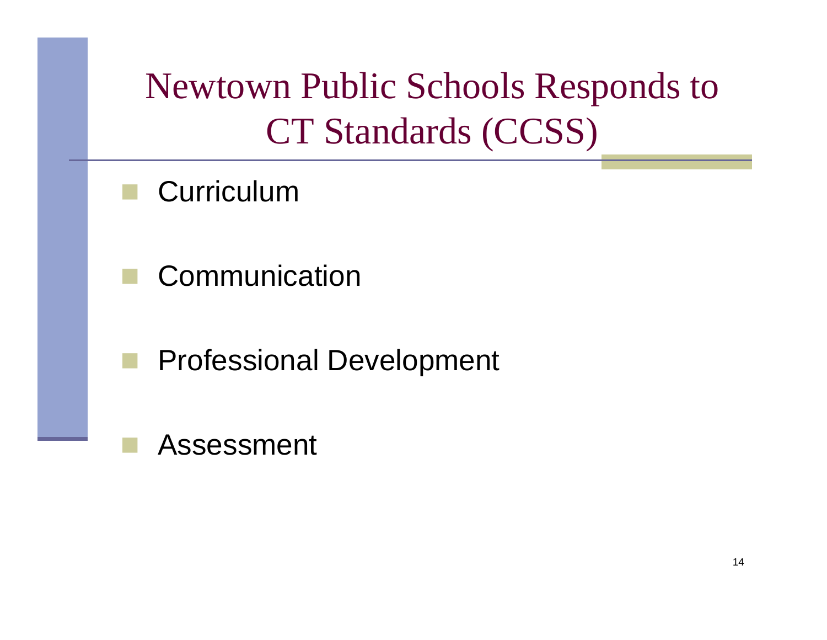Newtown Public Schools Responds to CT Standards (CCSS)

- **Curriculum**
- Communication
- Professional Development

#### Assessment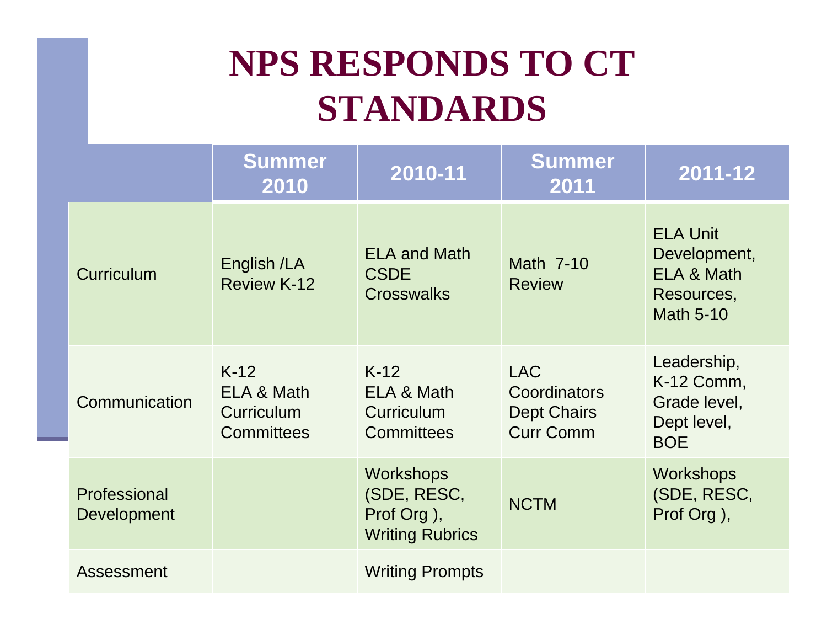### **NPS RESPONDS TO CT STANDARDS**

|                                    | <b>Summer</b><br>2010                                   | 2010-11                                                                 | <b>Summer</b><br>2011                                                | 2011-12                                                                         |
|------------------------------------|---------------------------------------------------------|-------------------------------------------------------------------------|----------------------------------------------------------------------|---------------------------------------------------------------------------------|
| Curriculum                         | English /LA<br><b>Review K-12</b>                       | <b>ELA and Math</b><br><b>CSDE</b><br><b>Crosswalks</b>                 | Math 7-10<br><b>Review</b>                                           | <b>ELA Unit</b><br>Development,<br>ELA & Math<br>Resources,<br><b>Math 5-10</b> |
| Communication                      | $K-12$<br>ELA & Math<br>Curriculum<br><b>Committees</b> | $K-12$<br>ELA & Math<br>Curriculum<br><b>Committees</b>                 | <b>LAC</b><br>Coordinators<br><b>Dept Chairs</b><br><b>Curr Comm</b> | Leadership,<br>K-12 Comm,<br>Grade level,<br>Dept level,<br><b>BOE</b>          |
| Professional<br><b>Development</b> |                                                         | <b>Workshops</b><br>(SDE, RESC,<br>Prof Org),<br><b>Writing Rubrics</b> | <b>NCTM</b>                                                          | <b>Workshops</b><br>(SDE, RESC,<br>Prof Org),                                   |
| Assessment                         |                                                         | <b>Writing Prompts</b>                                                  |                                                                      |                                                                                 |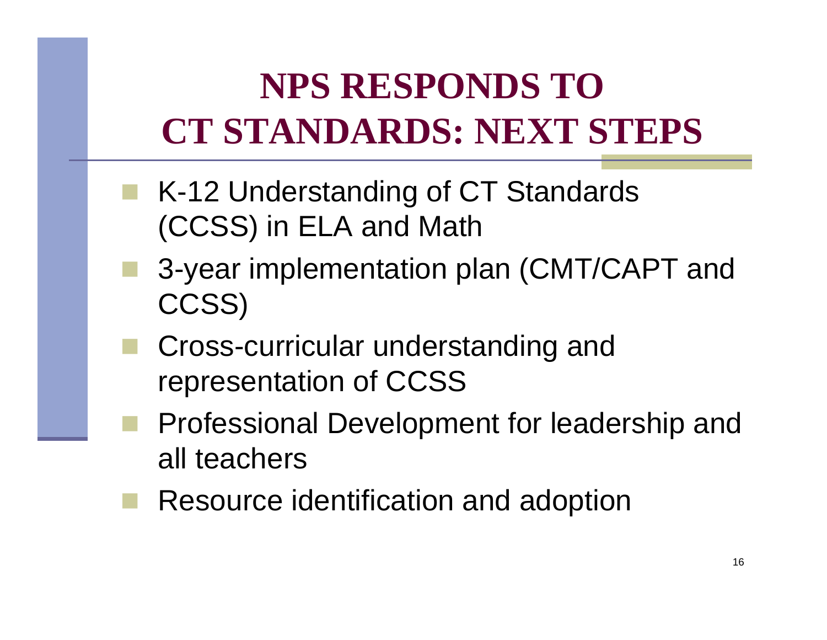## **NPS RESPONDS TO CT STANDARDS: NEXT STEPS**

- K-12 Understanding of CT Standards (CCSS) in ELA and Math
- 3-year implementation plan (CMT/CAPT and CCSS)
- Cross-curricular understanding and representation of CCSS
- Professional Development for leadership and all teachers
- Resource identification and adoption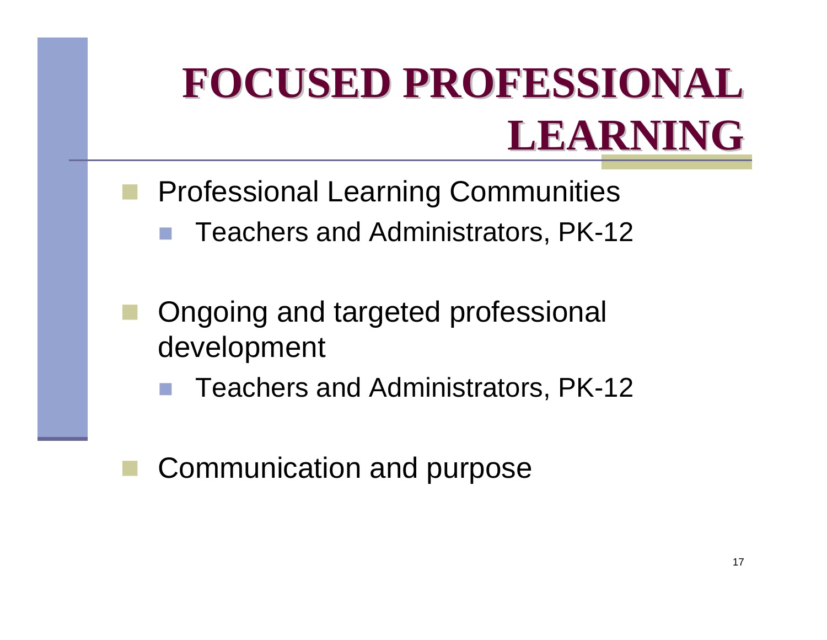# **FOCUSED PROFESSIONAL FOCUSED PROFESSIONAL LEARNING LEARNING**

- Professional Learning Communities
	- Teachers and Administrators, PK-12
- Ongoing and targeted professional development
	- Teachers and Administrators, PK-12
	- Communication and purpose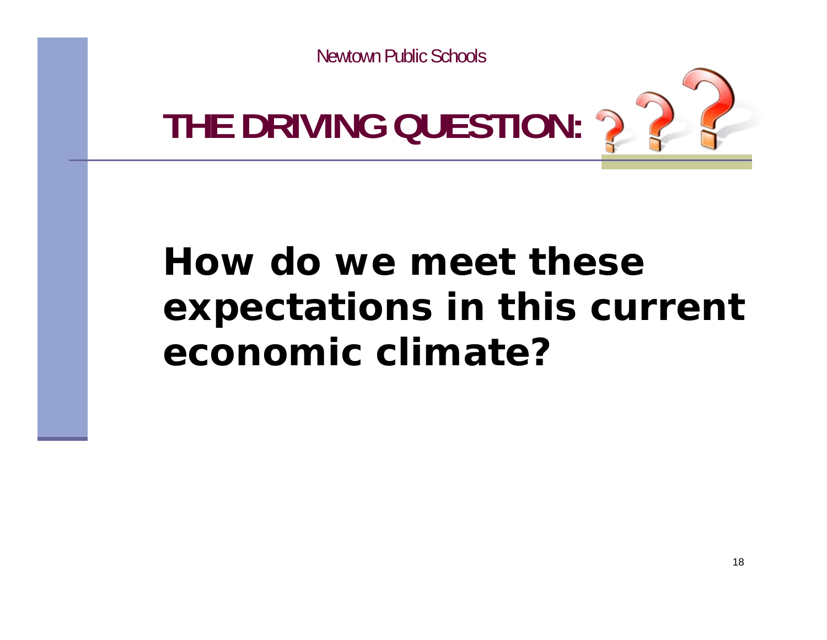

### **How do we meet theseexpectations in this current economic climate?**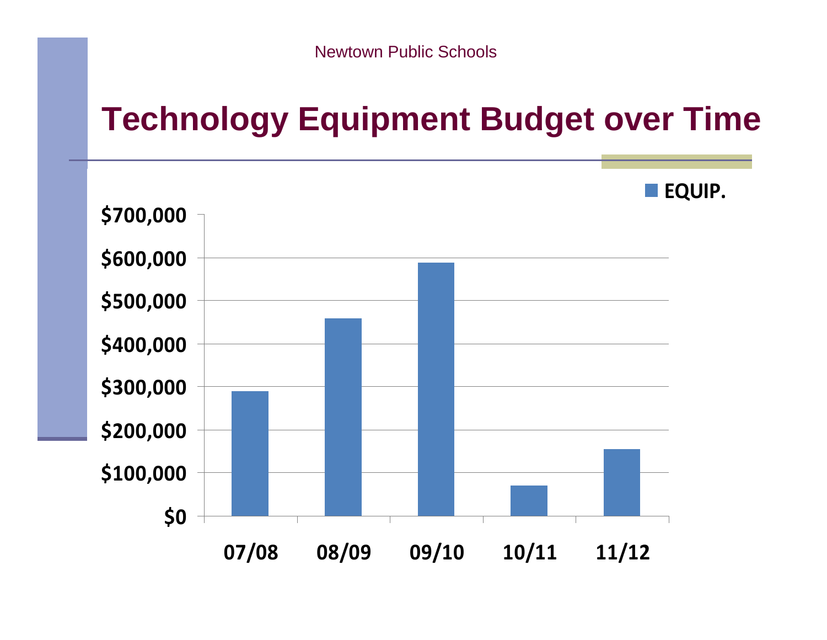### **Technology Equipment Budget over Time**

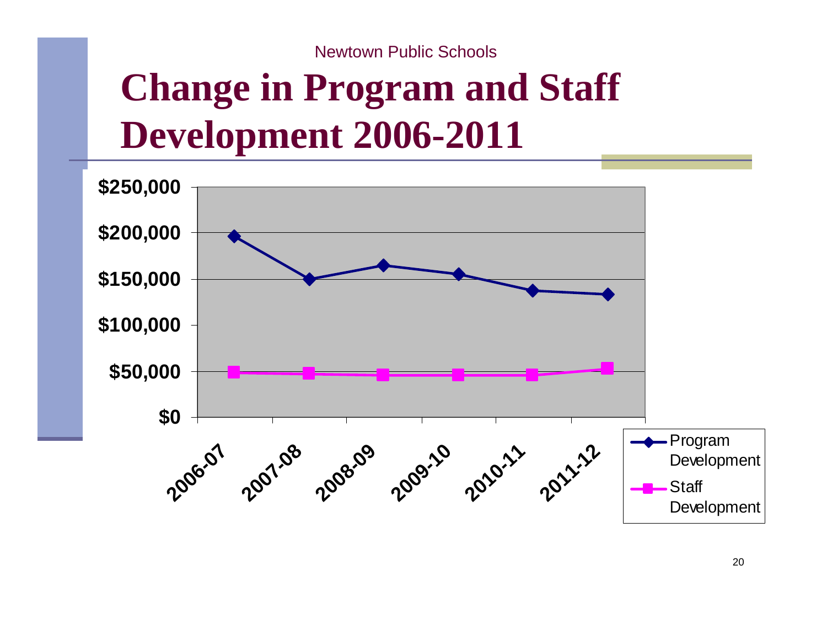### **Change in Program and Staff Development 2006-2011**

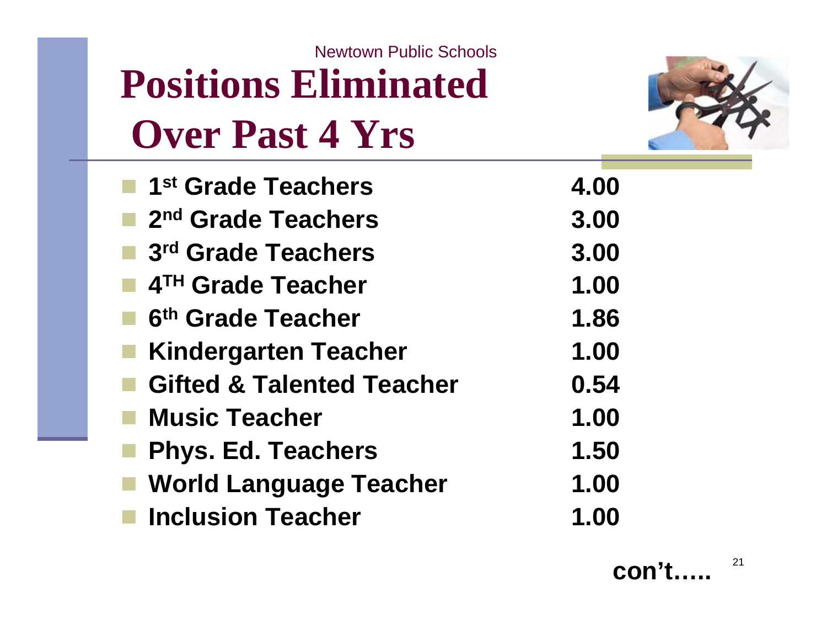### **Positions Eliminated Over Past 4 Yrs** Newtown Public Schools



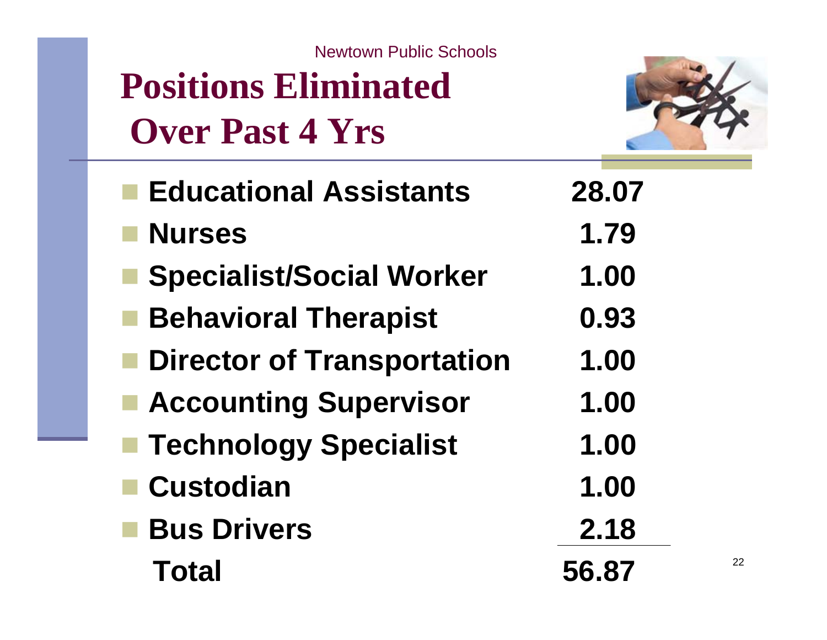**Positions Eliminated Over Past 4 Yrs**



| <b>Educational Assistants</b>     | 28.07 |
|-----------------------------------|-------|
| <b>Nurses</b>                     | 1.79  |
| <b>Specialist/Social Worker</b>   | 1.00  |
| <b>Behavioral Therapist</b>       | 0.93  |
| <b>Director of Transportation</b> | 1.00  |
| <b>Accounting Supervisor</b>      | 1.00  |
| <b>Technology Specialist</b>      | 1.00  |
| <b>Custodian</b>                  | 1.00  |
| <b>Bus Drivers</b>                | 2.18  |
| <b>Total</b>                      | 56.87 |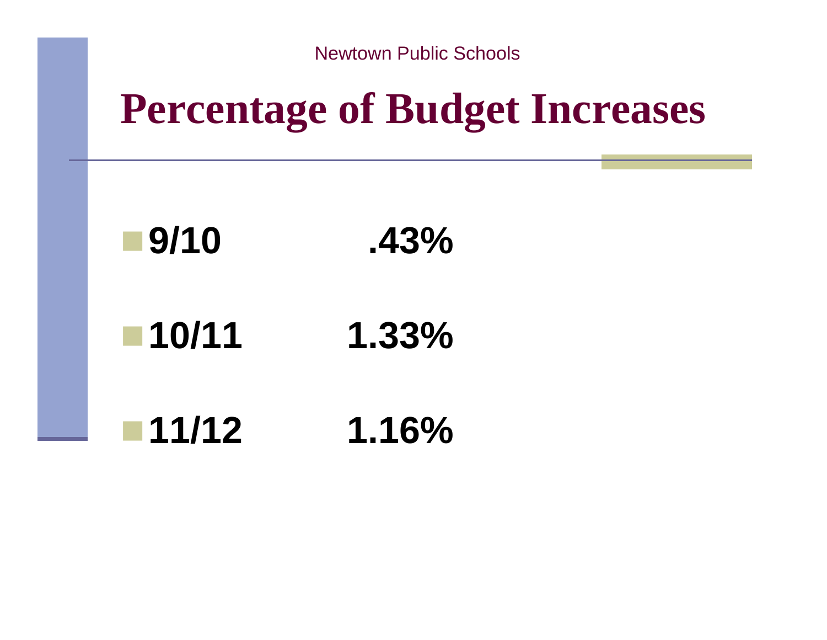## **Percentage of Budget Increases**



**10/11 1.33%**

**11/12 1.16%**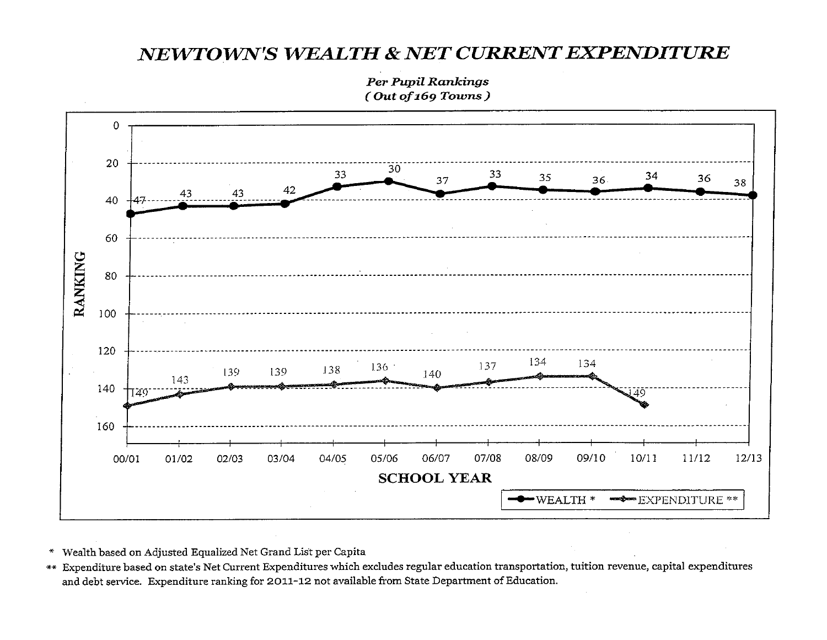#### NEWTOWN'S WEALTH & NET CURRENT EXPENDITURE

**Per Pupil Rankings** (Out of 169 Towns)



- \* Wealth based on Adjusted Equalized Net Grand List per Capita
- \*\* Expenditure based on state's Net Current Expenditures which excludes regular education transportation, tuition revenue, capital expenditures and debt service. Expenditure ranking for 2011-12 not available from State Department of Education.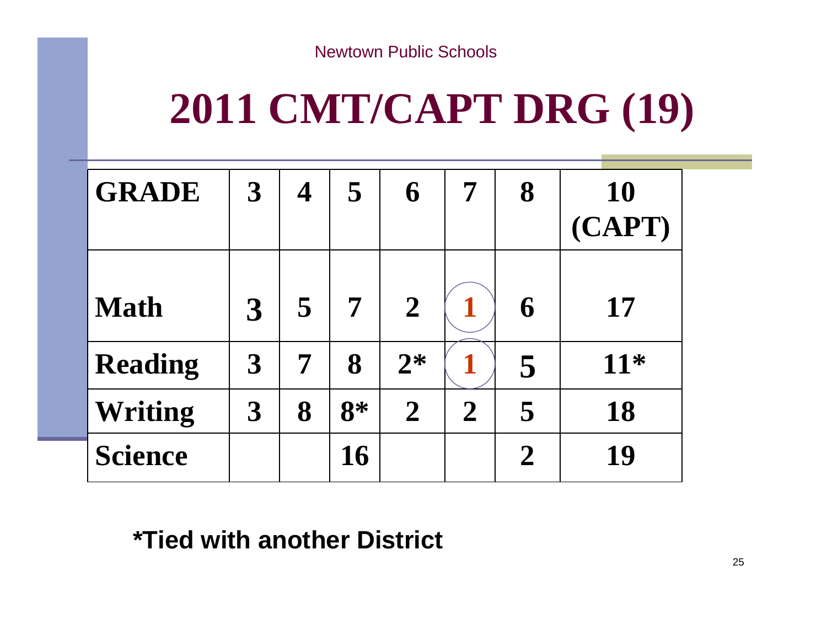# **2011 CMT/CAPT DRG (19)**

| <b>GRADE</b>   | $\overline{3}$       | 4 | 5    | 6                | 7              | 8              | <b>10</b><br>(CAPT) |
|----------------|----------------------|---|------|------------------|----------------|----------------|---------------------|
| <b>Math</b>    | $\boldsymbol{\beta}$ | 5 | 7    | $\boldsymbol{2}$ |                | 6              | 17                  |
| <b>Reading</b> | $\boldsymbol{\beta}$ | 7 | 8    | $2*$             |                | 5              | 11*                 |
| Writing        | $\boldsymbol{3}$     | 8 | $8*$ | $\overline{2}$   | $\overline{2}$ | 5              | 18                  |
| <b>Science</b> |                      |   | 16   |                  |                | $\overline{2}$ | 19                  |

#### **\*Tied with another District**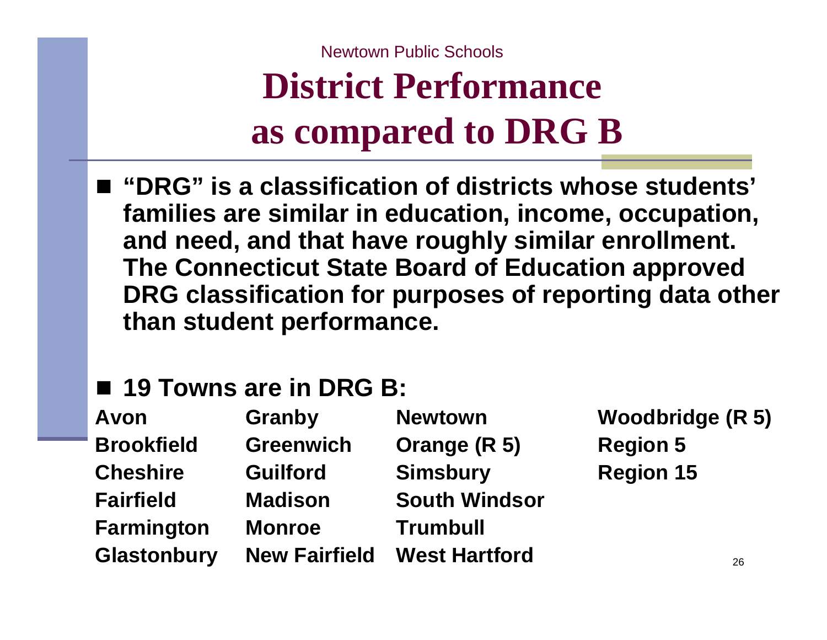### **District Performance as compared to DRG B**

- "DRG" is a classification of districts whose students' **families are similar in education, income, occupation, and need, and that have roughly similar enrollment. The Connecticut State Board of Education approved DRG classification for purposes of reporting data other than student performance.**
- 19 Towns are in DRG B:

**Farmington Monroe Trumbull**

**Brookfield Greenwich Orange (R 5) Region 5 Cheshire Guilford Simsbury Region 15 Fairfield Madison South WindsorGlastonbury New Fairfield West Hartford**

**Avon Granby Newtown Woodbridge (R 5)**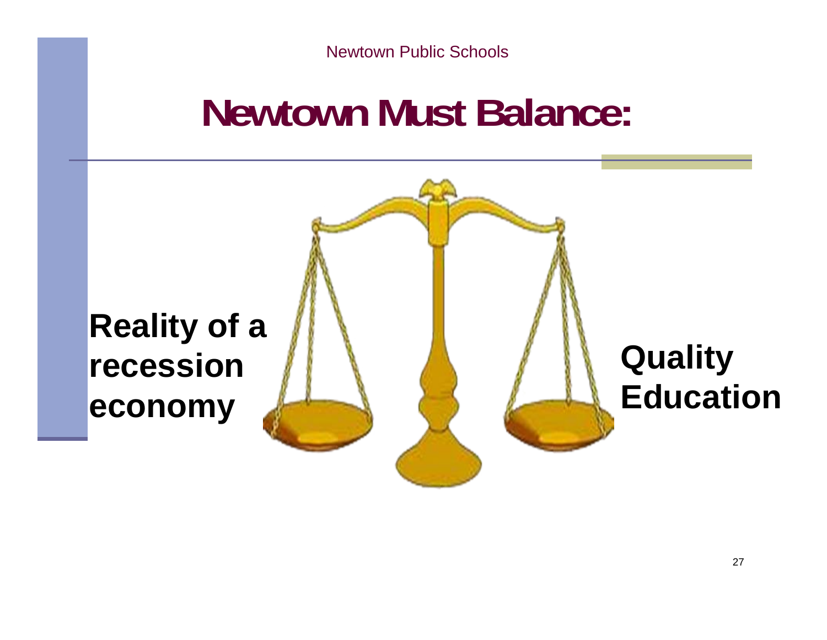## **Newtown Must Balance:**

# **Reality of a recessioneconomy Quality Education**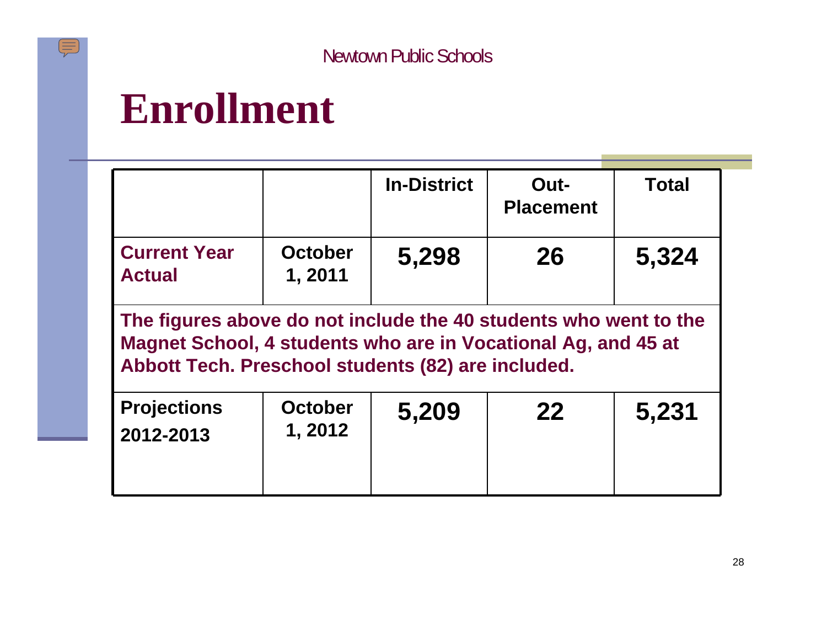### **Enrollment**

|                                      |                           | <b>In-District</b> | Out-<br><b>Placement</b> | <b>Total</b> |
|--------------------------------------|---------------------------|--------------------|--------------------------|--------------|
| <b>Current Year</b><br><b>Actual</b> | <b>October</b><br>1, 2011 | 5,298              | 26                       | 5,324        |

**The figures above do not include the 40 students who went to the Magnet School, 4 students who are in Vocational Ag, and 45 at Abbott Tech. Preschool students (82) are included.**

| <b>Projections</b><br>2012-2013 | <b>October</b><br>1, 2012 | 5,209 | 22 | 5,231 |
|---------------------------------|---------------------------|-------|----|-------|
|                                 |                           |       |    |       |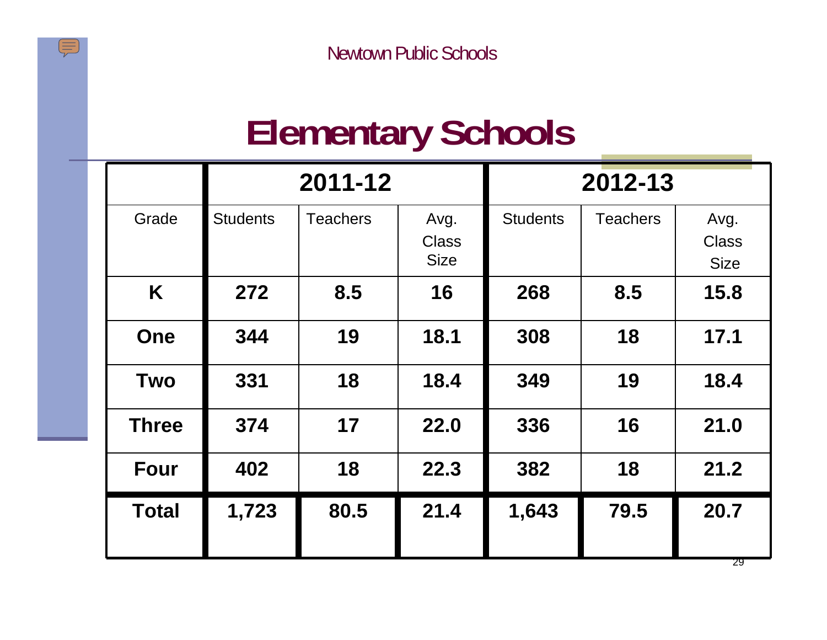### **Elementary Schools**

|              | 2011-12<br>2012-13 |                 |                                     |                 |                 |                                     |
|--------------|--------------------|-----------------|-------------------------------------|-----------------|-----------------|-------------------------------------|
| Grade        | <b>Students</b>    | <b>Teachers</b> | Avg.<br><b>Class</b><br><b>Size</b> | <b>Students</b> | <b>Teachers</b> | Avg.<br><b>Class</b><br><b>Size</b> |
| K            | 272                | 8.5             | 16                                  | 268             | 8.5             | 15.8                                |
| <b>One</b>   | 344                | 19              | 18.1                                | 308             | 18              | 17.1                                |
| <b>Two</b>   | 331                | 18              | 18.4                                | 349             | 19              | 18.4                                |
| <b>Three</b> | 374                | 17              | 22.0                                | 336             | 16              | 21.0                                |
| <b>Four</b>  | 402                | 18              | 22.3                                | 382             | 18              | 21.2                                |
| <b>Total</b> | 1,723              | 80.5            | 21.4                                | 1,643           | 79.5            | 20.7                                |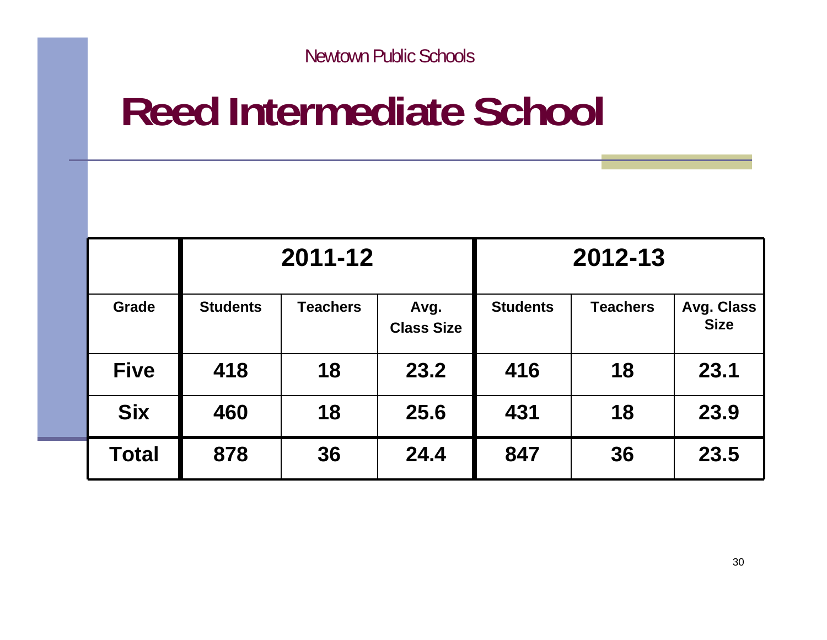# **Reed Intermediate School**

|              | 2011-12         |                 |                           |                 | 2012-13         |                                  |
|--------------|-----------------|-----------------|---------------------------|-----------------|-----------------|----------------------------------|
| <b>Grade</b> | <b>Students</b> | <b>Teachers</b> | Avg.<br><b>Class Size</b> | <b>Students</b> | <b>Teachers</b> | <b>Avg. Class</b><br><b>Size</b> |
| <b>Five</b>  | 418             | 18              | 23.2                      | 416             | 18              | 23.1                             |
| <b>Six</b>   | 460             | 18              | 25.6                      | 431             | 18              | 23.9                             |
| <b>Total</b> | 878             | 36              | 24.4                      | 847             | 36              | 23.5                             |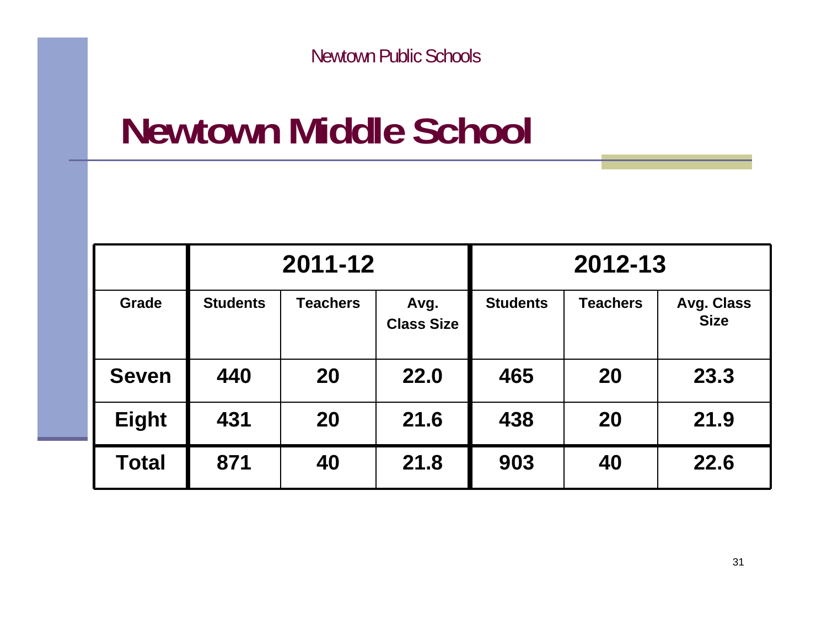## **Newtown Middle School**

|              | 2011-12         |                 |                           | 2012-13         |                 |                                  |
|--------------|-----------------|-----------------|---------------------------|-----------------|-----------------|----------------------------------|
| Grade        | <b>Students</b> | <b>Teachers</b> | Avg.<br><b>Class Size</b> | <b>Students</b> | <b>Teachers</b> | <b>Avg. Class</b><br><b>Size</b> |
| <b>Seven</b> | 440             | 20              | 22.0                      | 465             | <b>20</b>       | 23.3                             |
| <b>Eight</b> | 431             | 20              | 21.6                      | 438             | <b>20</b>       | 21.9                             |
| <b>Total</b> | 871             | 40              | 21.8                      | 903             | 40              | 22.6                             |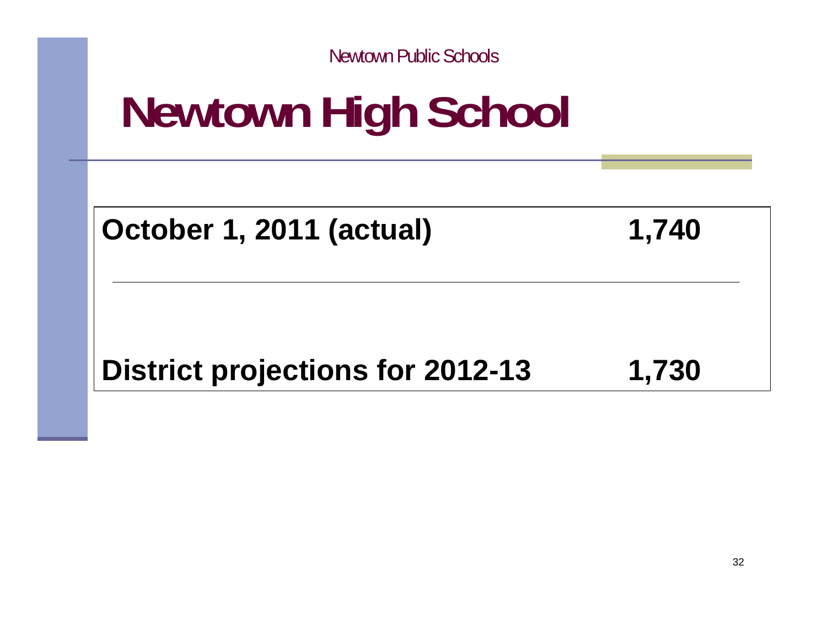# **Newtown High School**

**October 1, 2011 (actual) 1,740**

### District projections for 2012-13 1,730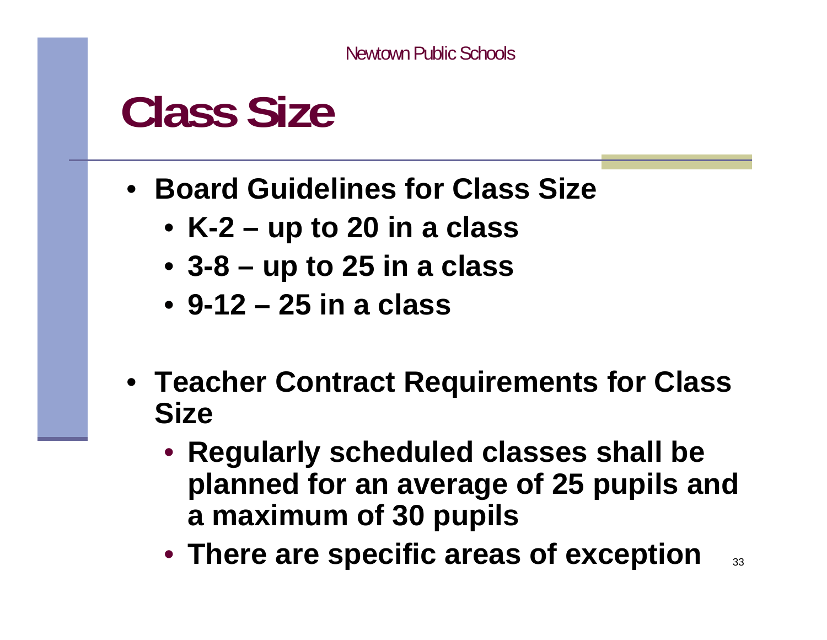# **Class Size**

- **Board Guidelines for Class Size**
	- **K-2 up to 20 in a class**
	- **3-8 up to 25 in a class**
	- **9-12 25 in a class**
- **Teacher Contract Requirements for Class Size**
	- **Regularly scheduled classes shall be planned for an average of 25 pupils and a maximum of 30 pupils**
	- **There are specific areas of exception**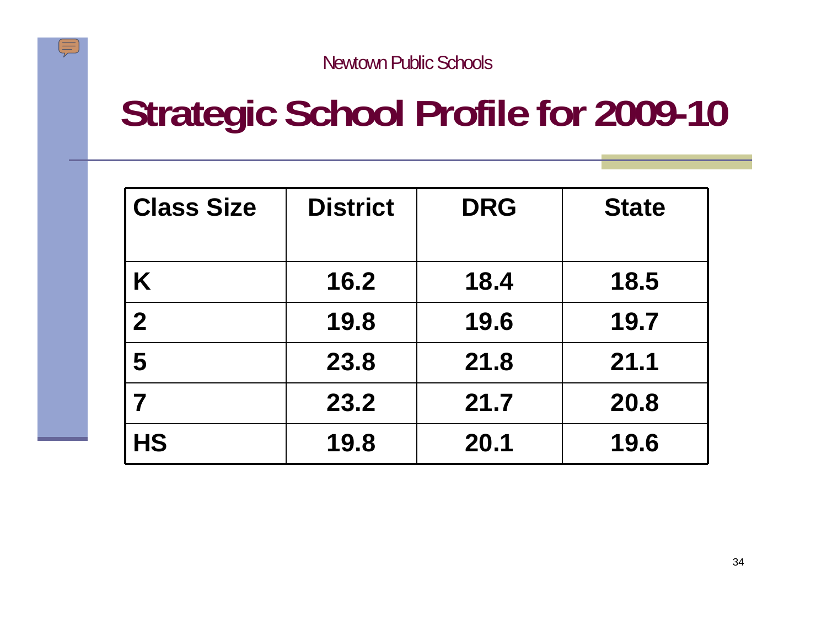$\sqrt{\mathbb{I}(\mathbb{I})}$ 

# **Strategic School Profile for 2009-10**

| <b>Class Size</b> | <b>District</b> | <b>DRG</b> | <b>State</b> |
|-------------------|-----------------|------------|--------------|
| K                 | 16.2            | 18.4       | 18.5         |
| $\overline{2}$    | 19.8            | 19.6       | 19.7         |
| 5                 | 23.8            | 21.8       | 21.1         |
|                   | 23.2            | 21,7       | 20.8         |
| <b>HS</b>         | 19.8            | 20.1       | 19.6         |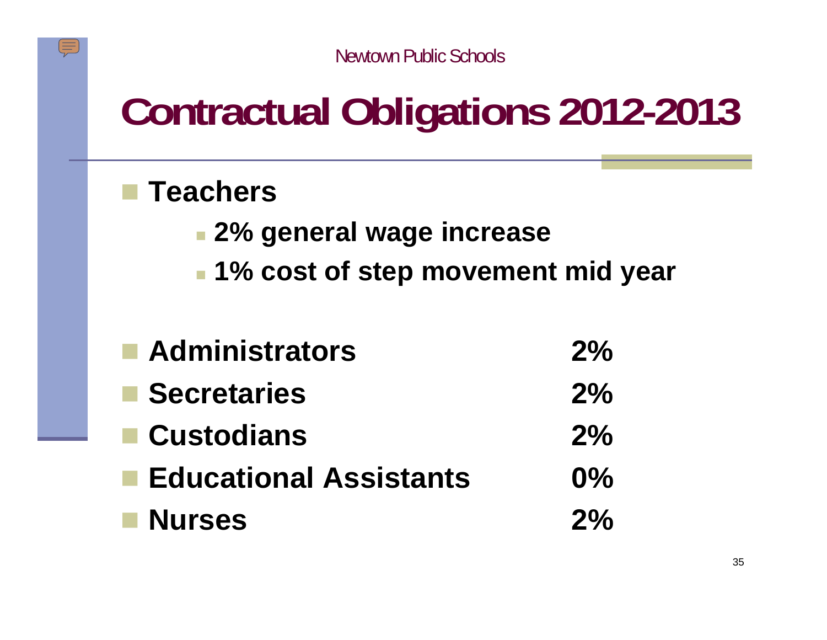# **Contractual Obligations 2012-2013**

#### **Teachers**

- **2% general wage increase**
- **1% cost of step movement mid year**

| Administrators             | $2\%$ |
|----------------------------|-------|
| $\blacksquare$ Secretaries | $2\%$ |
| $\blacksquare$ Custodians  | $2\%$ |
| ■ Educational Assistants   | $0\%$ |
| <b>Nurses</b>              | $2\%$ |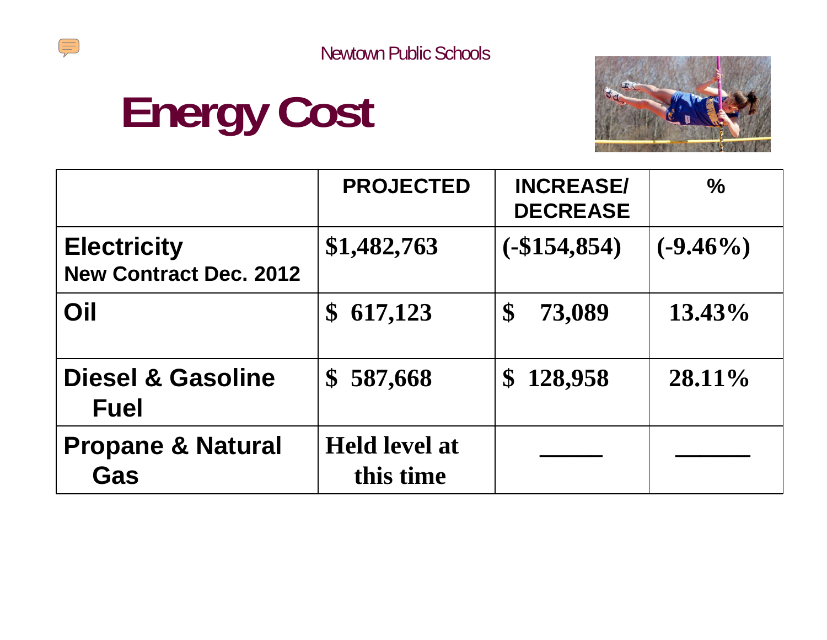





|                                                     | <b>PROJECTED</b>                  | <b>INCREASE/</b><br><b>DECREASE</b> | $\%$        |
|-----------------------------------------------------|-----------------------------------|-------------------------------------|-------------|
| <b>Electricity</b><br><b>New Contract Dec. 2012</b> | \$1,482,763                       | (. \$154, 854)                      | $(-9.46\%)$ |
| Oil                                                 | 617,123<br>$\mathbf S$            | 73,089<br>$\boldsymbol{\mathsf{S}}$ | 13.43%      |
| <b>Diesel &amp; Gasoline</b><br><b>Fuel</b>         | 587,668<br>$\mathbf S$            | 128,958<br>$\mathbf S$              | $28.11\%$   |
| <b>Propane &amp; Natural</b><br>Gas                 | <b>Held level at</b><br>this time |                                     |             |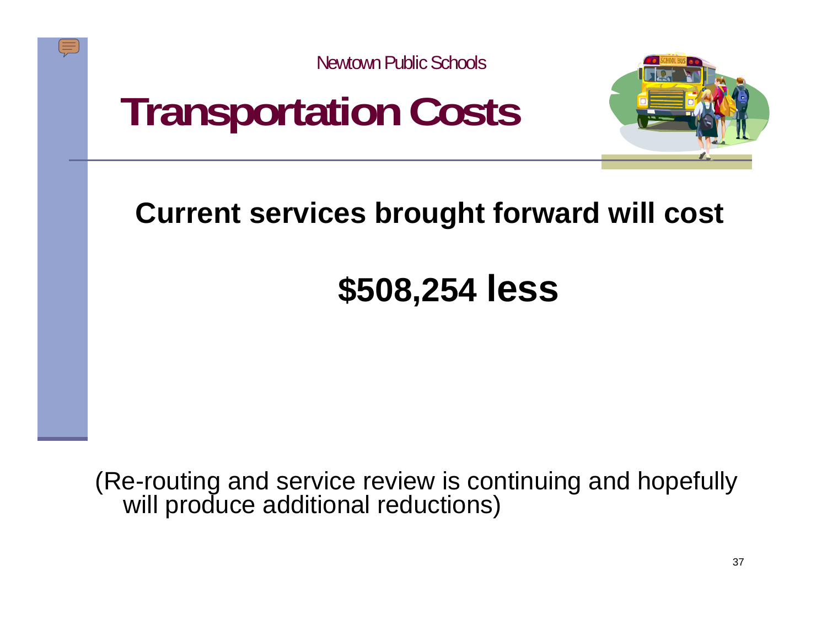



### **Current services brought forward will cost**

### **\$508,254 less**

(Re-routing and service review is continuing and hopefully will produce additional reductions)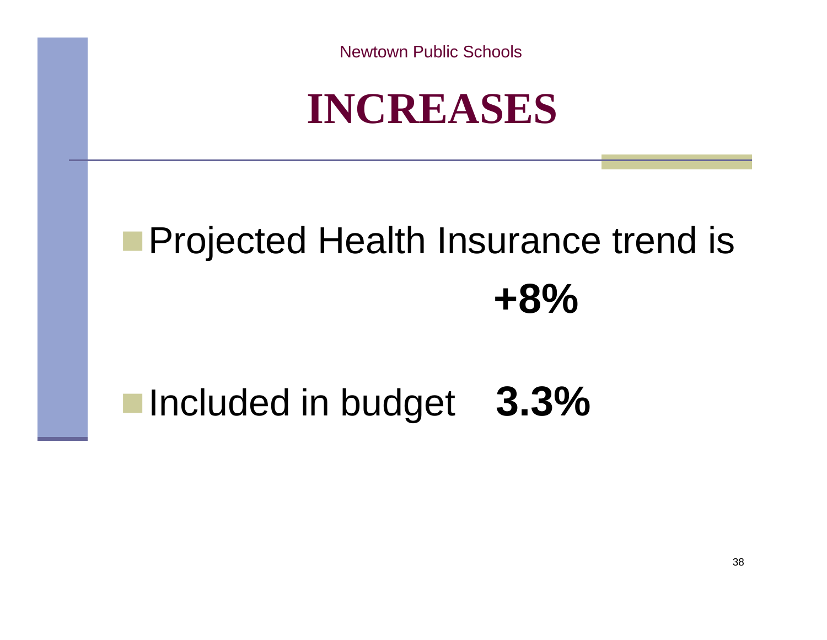

# **Projected Health Insurance trend is +8%**

### Included in budget **3.3%**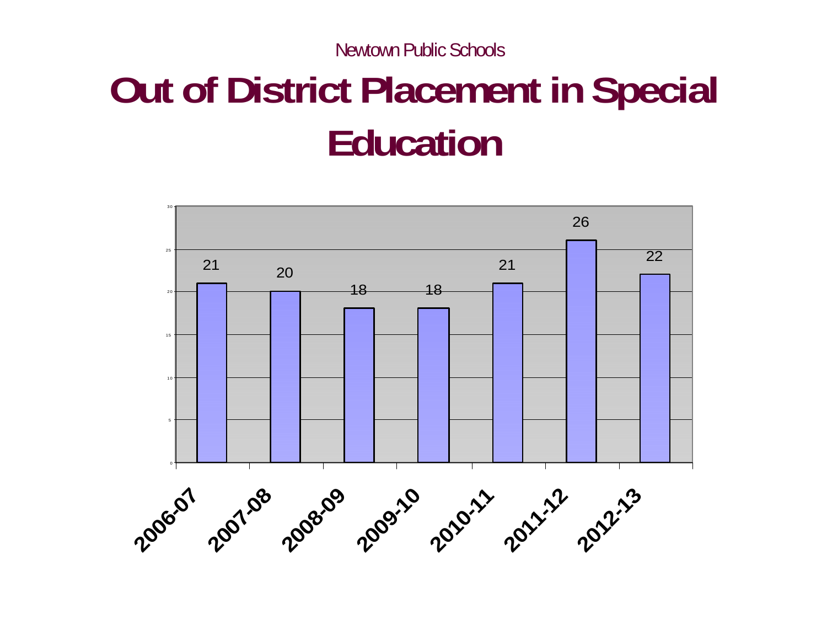# **Out of District Placement in Special Education**

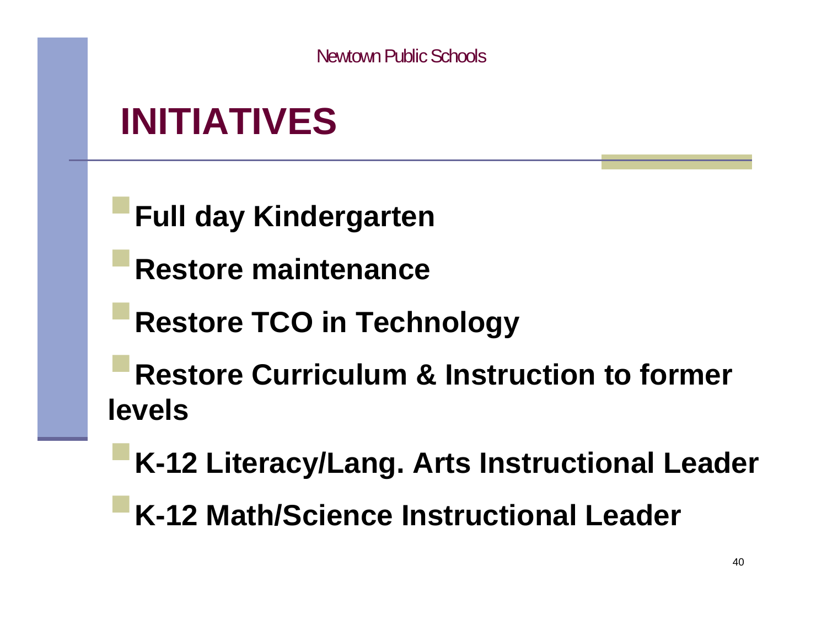### **INITIATIVES**

**Full day Kindergarten**

**Restore maintenance**

**Restore TCO in Technology**

**Restore Curriculum & Instruction to former levels**

**K-12 Literacy/Lang. Arts Instructional Leader**

**K-12 Math/Science Instructional Leader**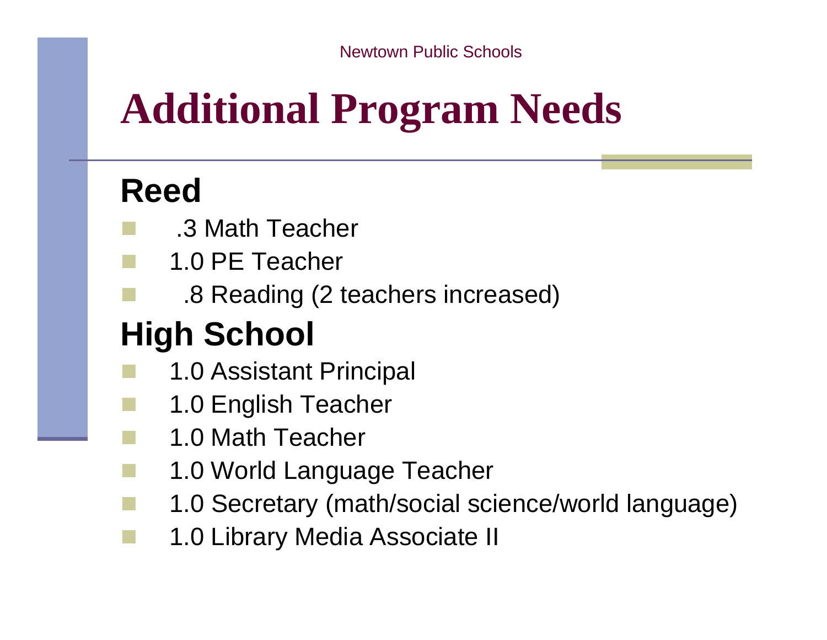# **Additional Program Needs**

### **Reed**

- .3 Math Teacher
- 1.0 PE Teacher
	- .8 Reading (2 teachers increased)

### **High School**

- 1.0 Assistant Principal
- 1.0 English Teacher
	- 1.0 Math Teacher
- 1.0 World Language Teacher
	- 1.0 Secretary (math/social science/world language)
- 1.0 Library Media Associate II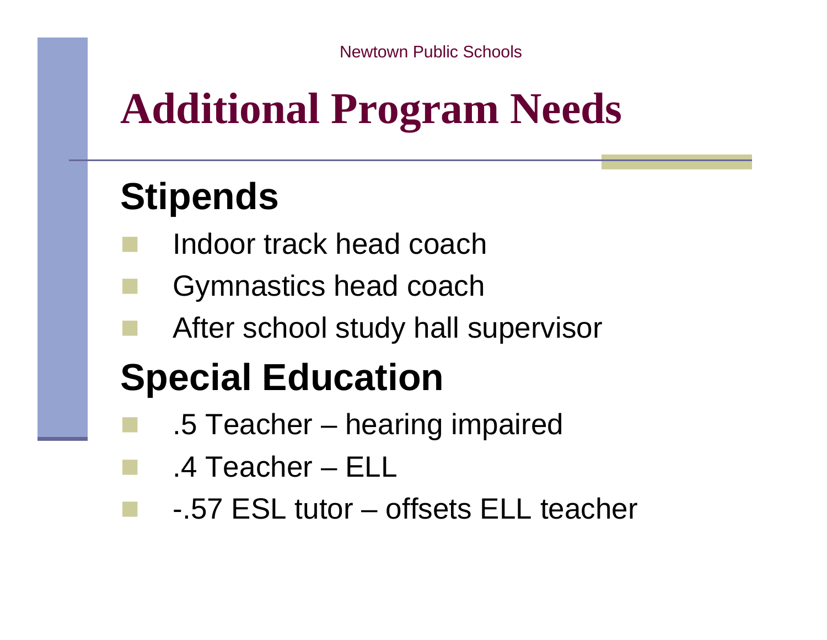# **Additional Program Needs**

### **Stipends**

- Indoor track head coach
- Gymnastics head coach
- After school study hall supervisor

## **Special Education**

- .5 Teacher hearing impaired
	- .4 Teacher ELL
		- -.57 ESL tutor offsets ELL teacher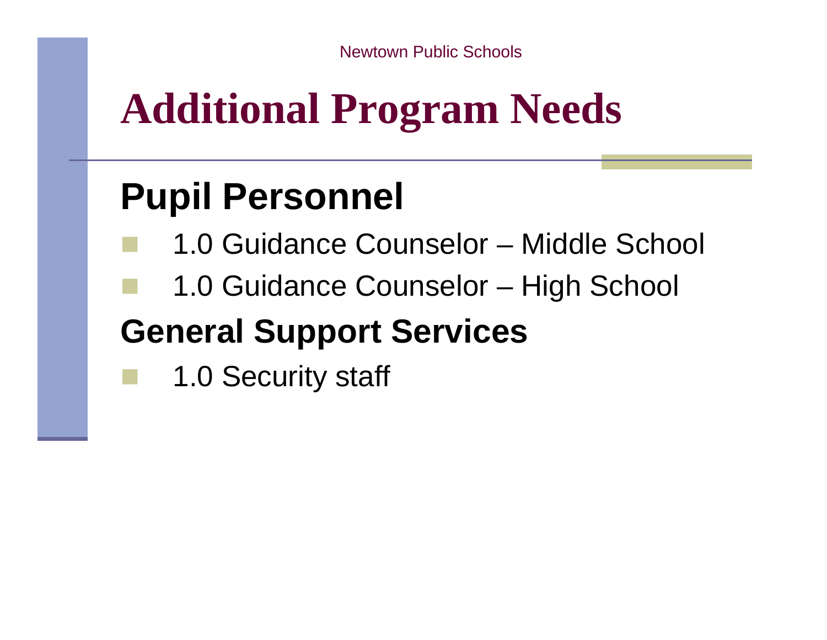# **Additional Program Needs**

### **Pupil Personnel**

- 1.0 Guidance Counselor Middle School
- 1.0 Guidance Counselor High School

### **General Support Services**

1.0 Security staff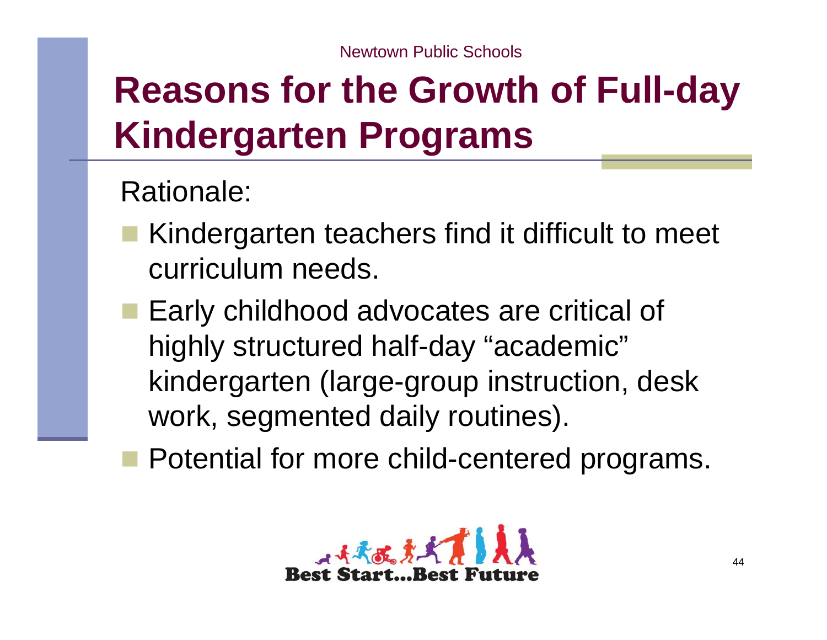## **Reasons for the Growth of Full-day Kindergarten Programs**

### Rationale:

- Kindergarten teachers find it difficult to meet curriculum needs.
	- Early childhood advocates are critical of highly structured half-day "academic" kindergarten (large-group instruction, desk work, segmented daily routines).
- **Potential for more child-centered programs.**

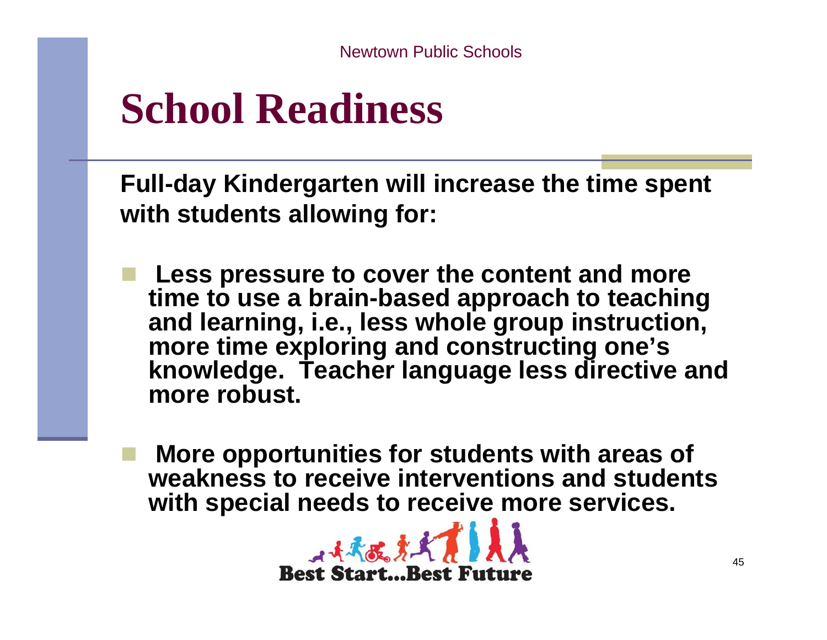## **School Readiness**

**Full-day Kindergarten will increase the time spent with students allowing for:**

- **Less pressure to cover the content and more time to use a brain-based approach to teaching and learning, i.e., less whole group instruction, more time exploring and constructing one's knowledge. Teacher language less directive and more robust.**
	- **More opportunities for students with areas of weakness to receive interventions and students with special needs to receive more services.**

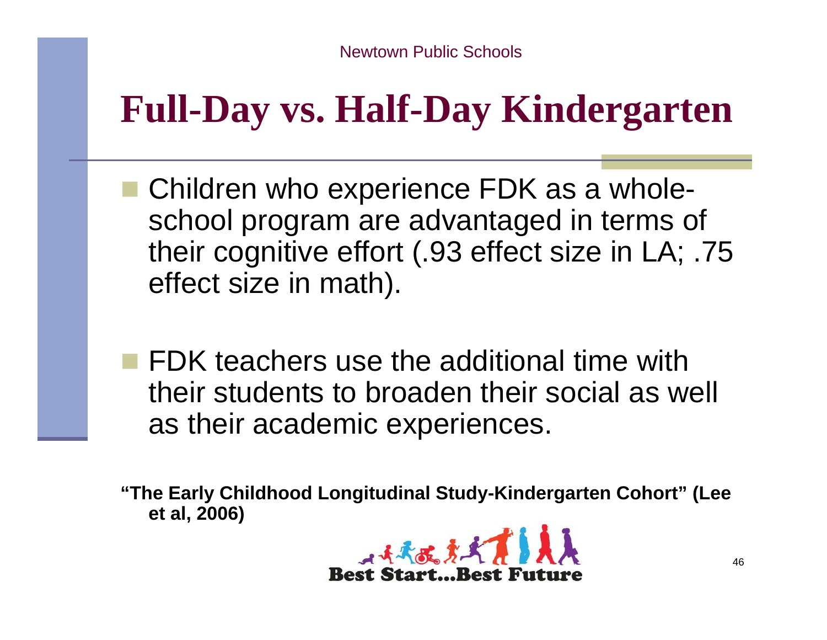### **Full-Day vs. Half-Day Kindergarten**

- Children who experience FDK as a wholeschool program are advantaged in terms of their cognitive effort (.93 effect size in LA; .75 effect size in math).
- **FDK teachers use the additional time with** their students to broaden their social as well as their academic experiences.

**"The Early Childhood Longitudinal Study-Kindergarten Cohort" (Lee et al, 2006)**

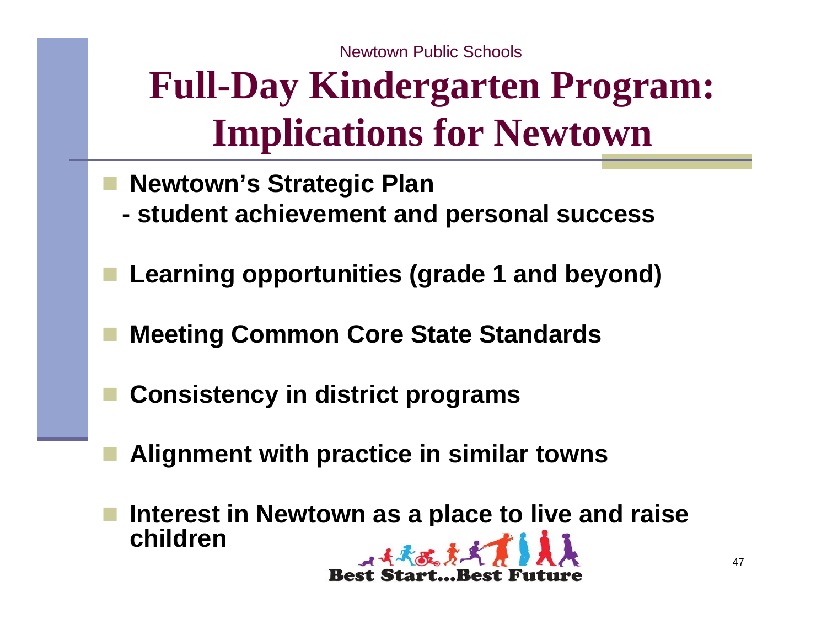## **Full-Day Kindergarten Program: Implications for Newtown**

- **Newtown's Strategic Plan**
- **student achievement and personal success**
- **Learning opportunities (grade 1 and beyond)**
- **Meeting Common Core State Standards**
- **Consistency in district programs**
- **Alignment with practice in similar towns**
- **Interest in Newtown as a place to live and raise children**小头头皮身头

**Best Start...Best Fut**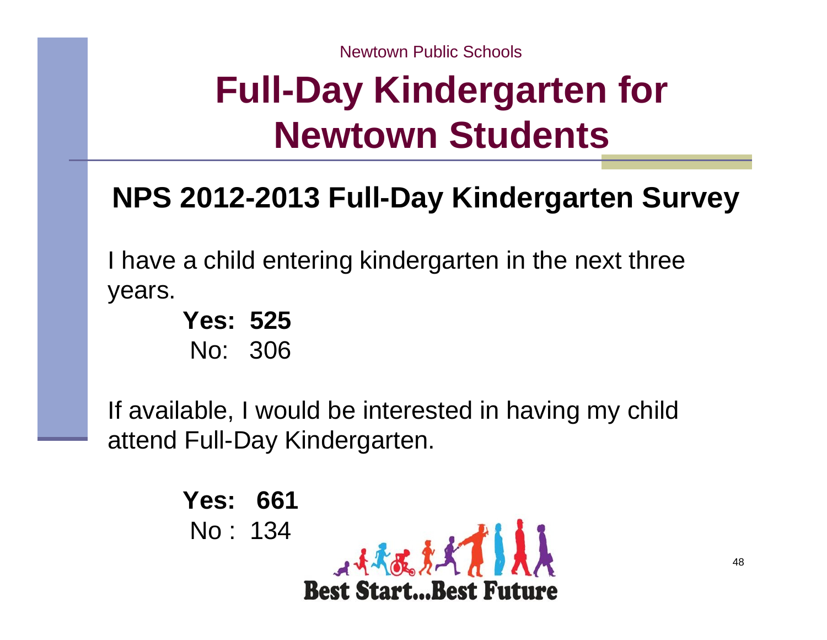### **Full-Day Kindergarten for Newtown Students**

### **NPS 2012-2013 Full-Day Kindergarten Survey**

I have a child entering kindergarten in the next three years.

> **Yes: 525**No: 306

If available, I would be interested in having my child attend Full-Day Kindergarten.

> **Yes: 661**No : 134 $A + A$ **Best Start...Best Future**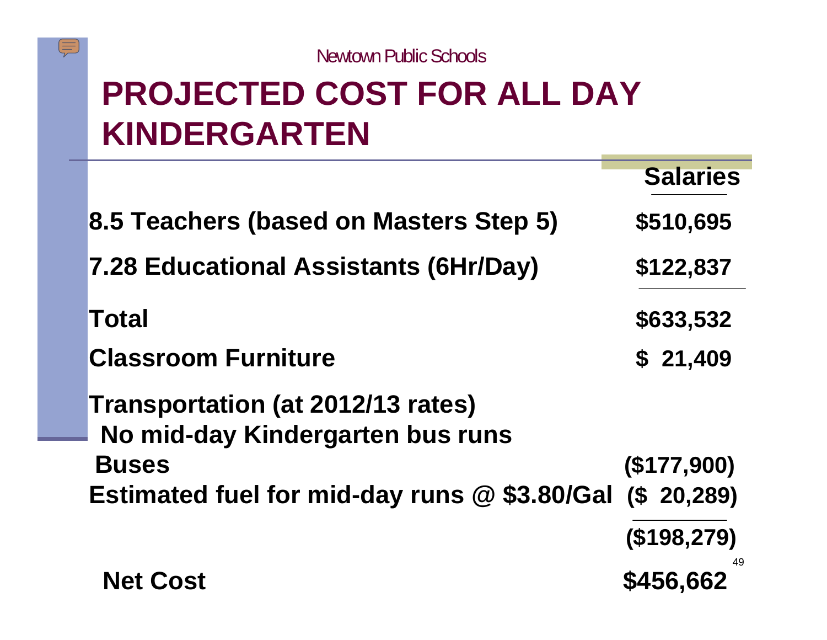

### **PROJECTED COST FOR ALL DAY KINDERGARTEN**

 $\sqrt{\mathbb{I}(\mathbb{I})}$ 

|                                                                       | <b>Salaries</b> |
|-----------------------------------------------------------------------|-----------------|
| 8.5 Teachers (based on Masters Step 5)                                | \$510,695       |
| 7.28 Educational Assistants (6Hr/Day)                                 | \$122,837       |
| Total                                                                 | \$633,532       |
| <b>Classroom Furniture</b>                                            | \$21,409        |
| Transportation (at 2012/13 rates)<br>No mid-day Kindergarten bus runs |                 |
| <b>Buses</b>                                                          | (\$177,900)     |
| Estimated fuel for mid-day runs $@$ \$3.80/Gal (\$ 20,289)            |                 |
|                                                                       | (\$198,279)     |
| <b>Net Cost</b>                                                       | \$456,662       |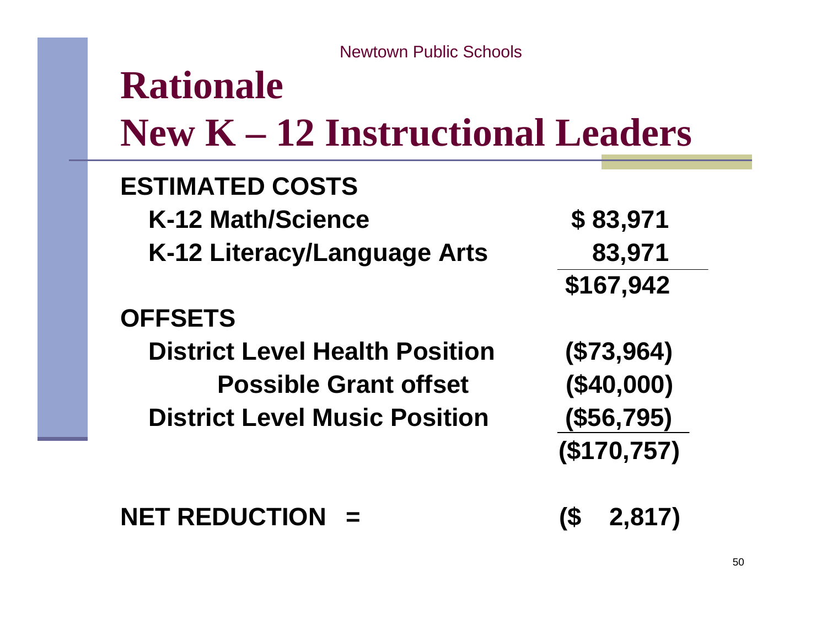### **Rationale New K – 12 Instructional Leaders**

#### **ESTIMATED COSTSK-12 Math/Science \$ 83,971 K-12 Literacy/Language Arts 83,971 \$167,942 OFFSETSDistrict Level Health Position (\$73,964) Possible Grant offset (\$40,000) District Level Music Position (\$56,795) (\$170,757)**

#### **NET REDUCTION = (\$ 2,817)**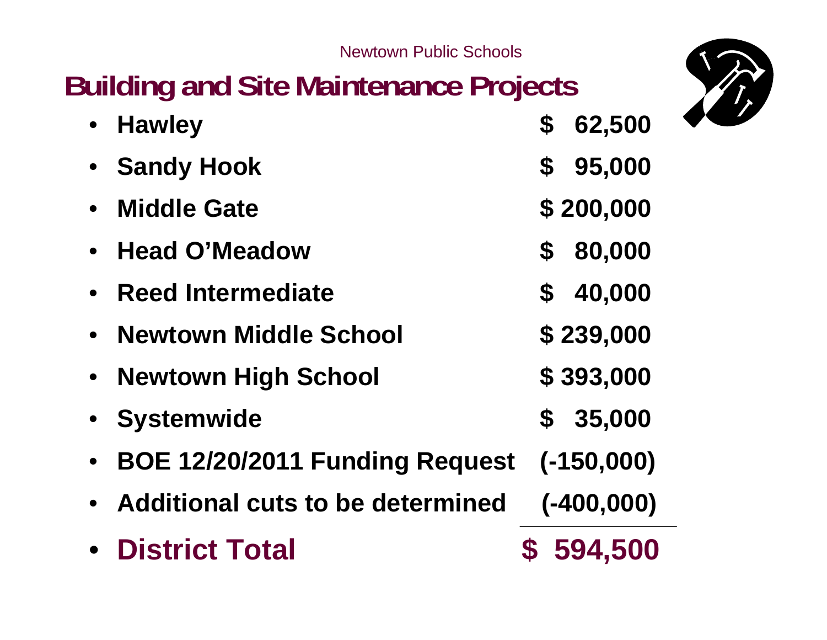### **Building and Site Maintenance Projects**



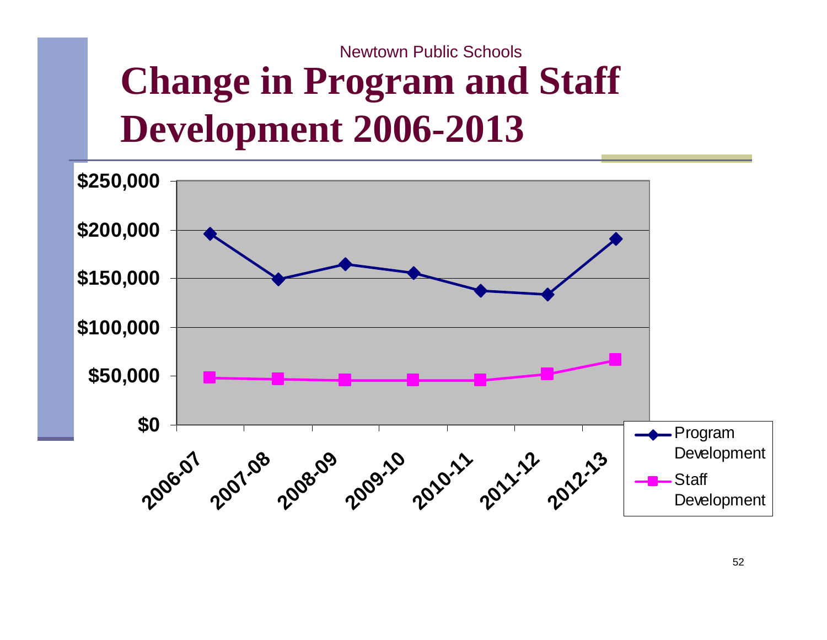## **Change in Program and Staff Development 2006-2013**

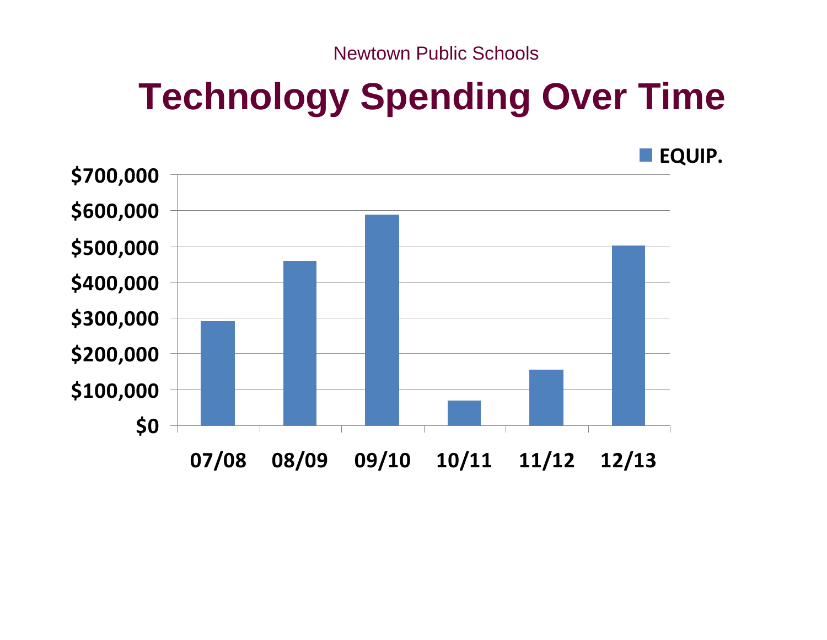### **Technology Spending Over Time**

**EQUIP.**

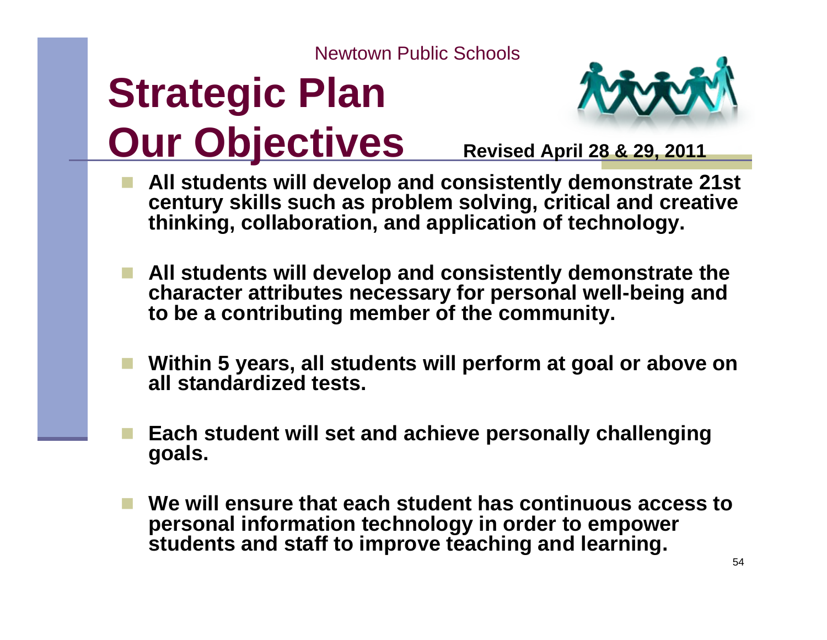# **Strategic Plan Our Objectives** Revised April 28 & 29, 2011



- **All students will develop and consistently demonstrate 21st century skills such as problem solving, critical and creative thinking, collaboration, and application of technology.**
- **All students will develop and consistently demonstrate the character attributes necessary for personal well-being and to be a contributing member of the community.**
- **Within 5 years, all students will perform at goal or above on all standardized tests.**
- **Each student will set and achieve personally challenging goals.**
- **We will ensure that each student has continuous access to personal information technology in order to empower students and staff to improve teaching and learning.**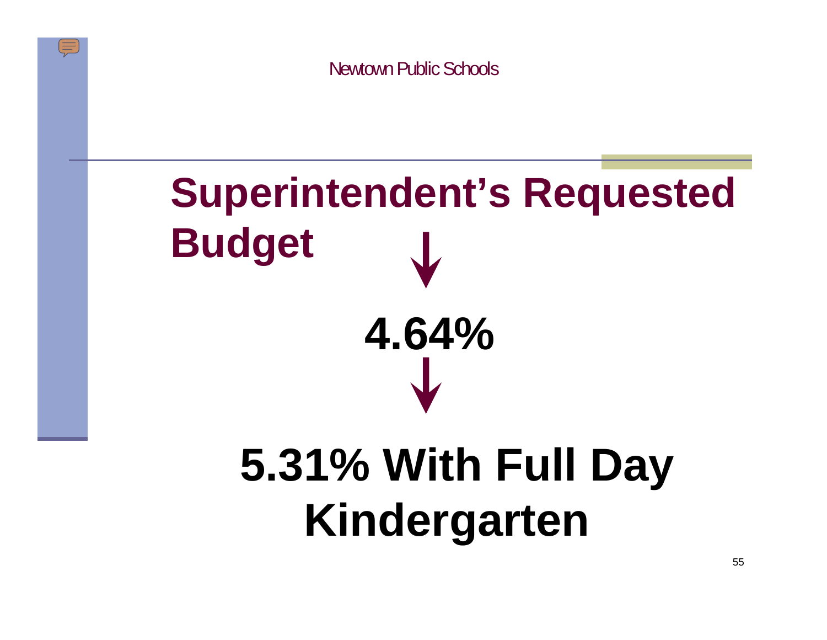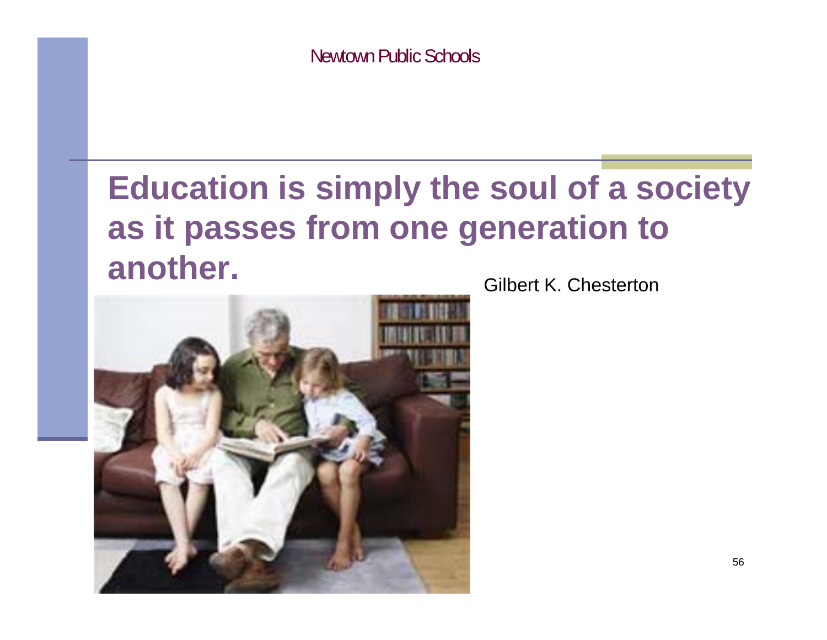### **Education is simply the soul of a society as it passes from one generation to another.**



Gilbert K. Chesterton